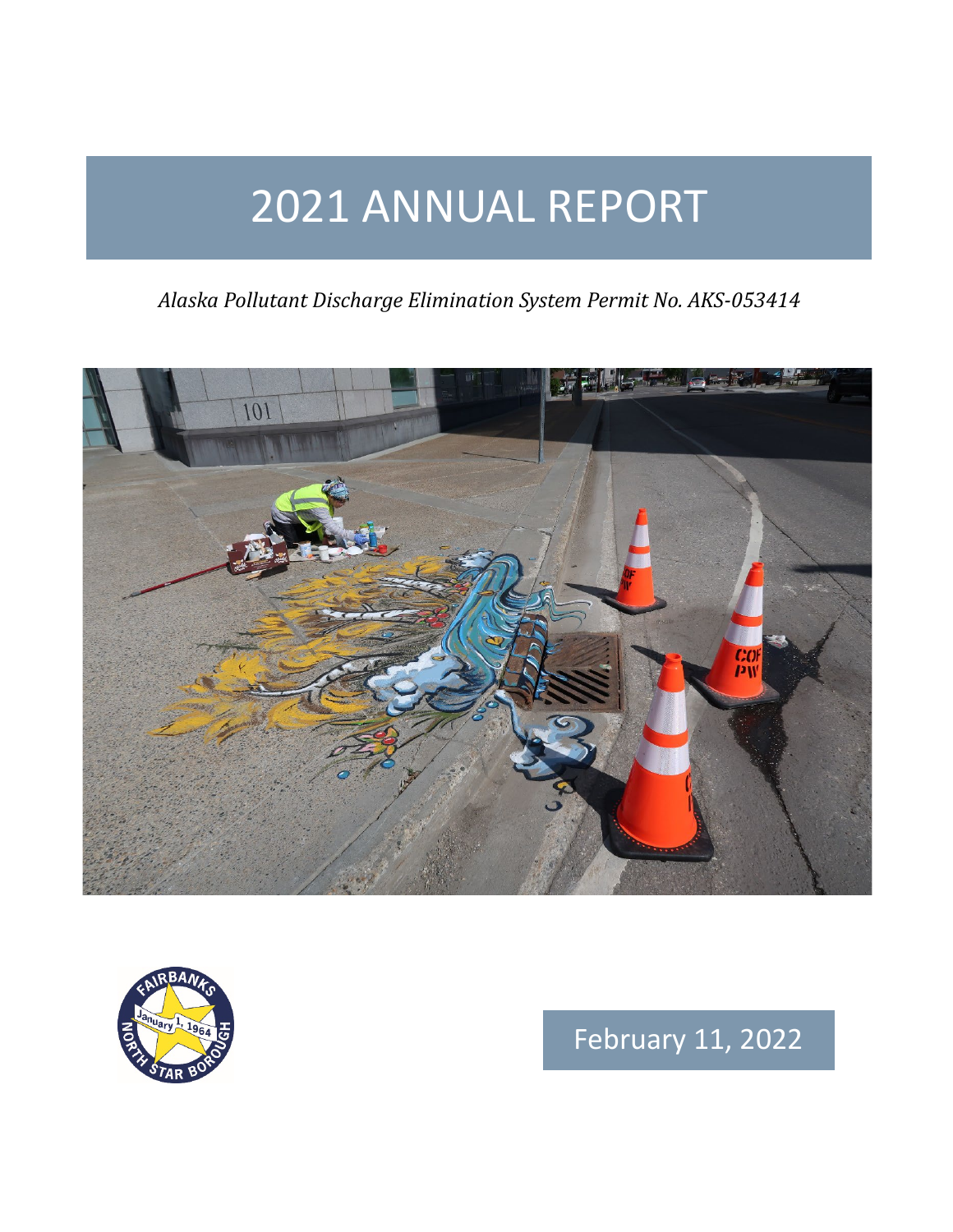# 2021 ANNUAL REPORT

*Alaska Pollutant Discharge Elimination System Permit No. AKS-053414*





February 11, 2022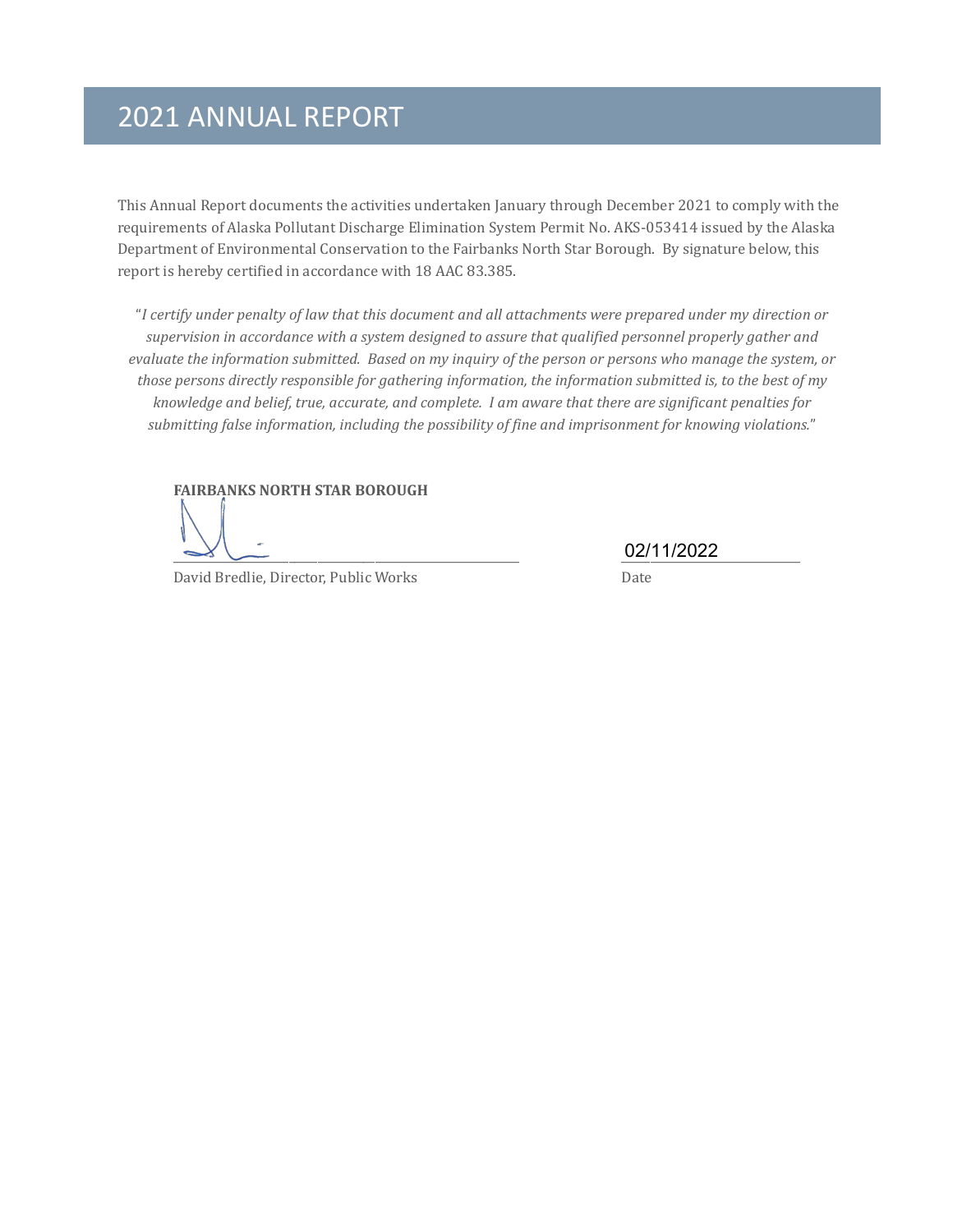### 2021 ANNUAL REPORT

This Annual Report documents the activities undertaken January through December 2021 to comply with the requirements of Alaska Pollutant Discharge Elimination System Permit No. AKS-053414 issued by the Alaska Department of Environmental Conservation to the Fairbanks North Star Borough. By signature below, this report is hereby certified in accordance with 18 AAC 83.385.

"*I certify under penalty of law that this document and all attachments were prepared under my direction or supervision in accordance with a system designed to assure that qualified personnel properly gather and evaluate the information submitted. Based on my inquiry of the person or persons who manage the system, or those persons directly responsible for gathering information, the information submitted is, to the best of my knowledge and belief, true, accurate, and complete. I am aware that there are significant penalties for submitting false information, including the possibility of fine and imprisonment for knowing violations.*"

**FAIRBANKS NORTH STAR BOROUGH**

\_\_\_\_\_\_\_\_\_\_\_\_\_\_\_\_\_\_\_\_\_\_\_\_\_\_\_\_\_\_\_\_\_\_\_\_\_\_\_\_\_\_\_\_\_\_\_\_\_\_\_\_\_\_\_\_\_\_\_\_ \_\_\_\_\_\_\_\_\_\_\_\_\_\_\_\_\_\_\_\_\_\_\_\_\_\_\_\_\_\_\_

David Bredlie, Director, Public Works Date

02/11/2022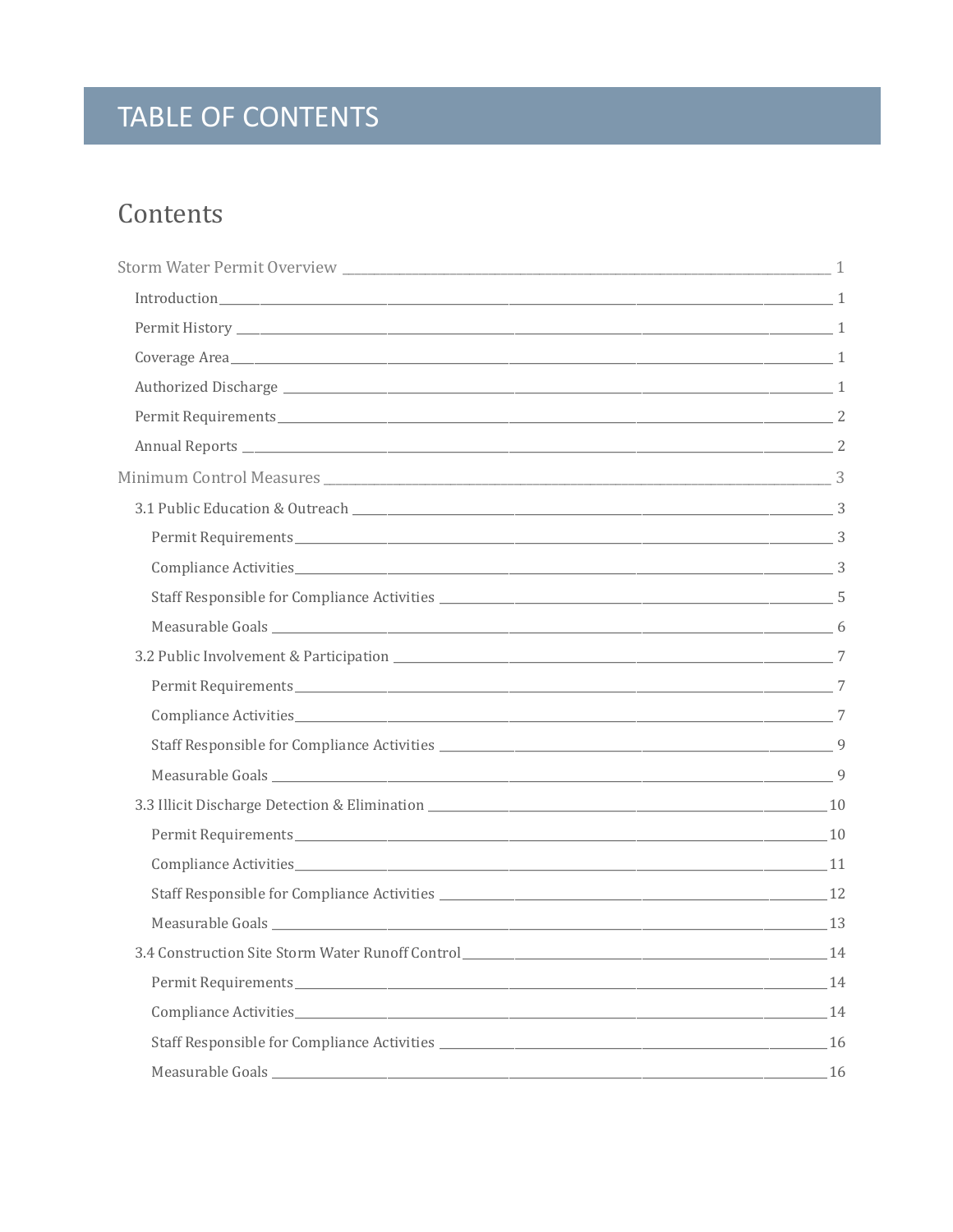## TABLE OF CONTENTS

### Contents

| 3.4 Construction Site Storm Water Runoff Control _______________________________ | $\frac{14}{2}$ |
|----------------------------------------------------------------------------------|----------------|
|                                                                                  |                |
| Compliance Activities 14                                                         |                |
|                                                                                  |                |
|                                                                                  |                |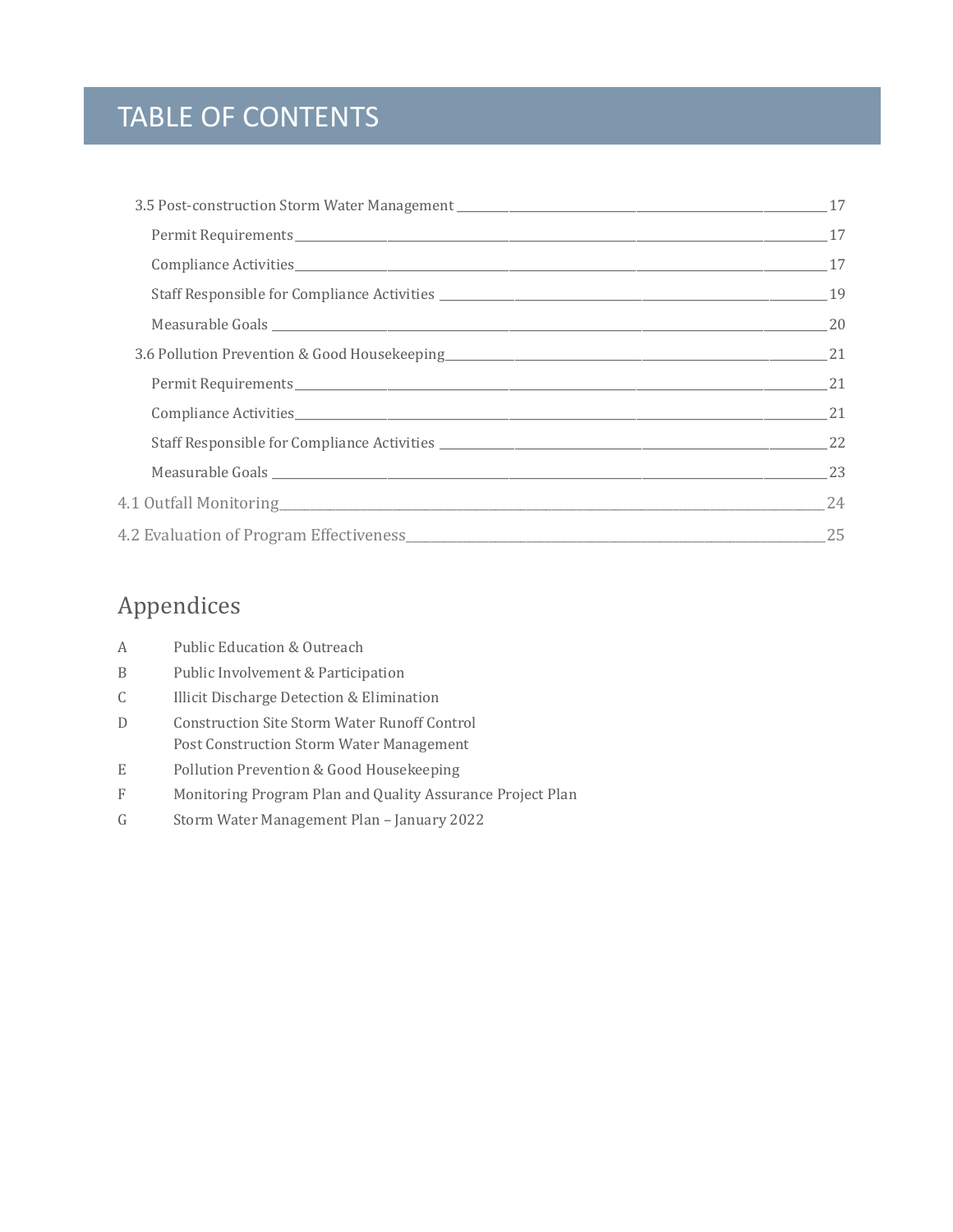### TABLE OF CONTENTS

### Appendices

| A | Public Education & Outreach                                |
|---|------------------------------------------------------------|
| B | Public Involvement & Participation                         |
| C | Illicit Discharge Detection & Elimination                  |
| D | <b>Construction Site Storm Water Runoff Control</b>        |
|   | <b>Post Construction Storm Water Management</b>            |
| E | Pollution Prevention & Good Housekeeping                   |
| F | Monitoring Program Plan and Quality Assurance Project Plan |
|   |                                                            |

G Storm Water Management Plan – January 2022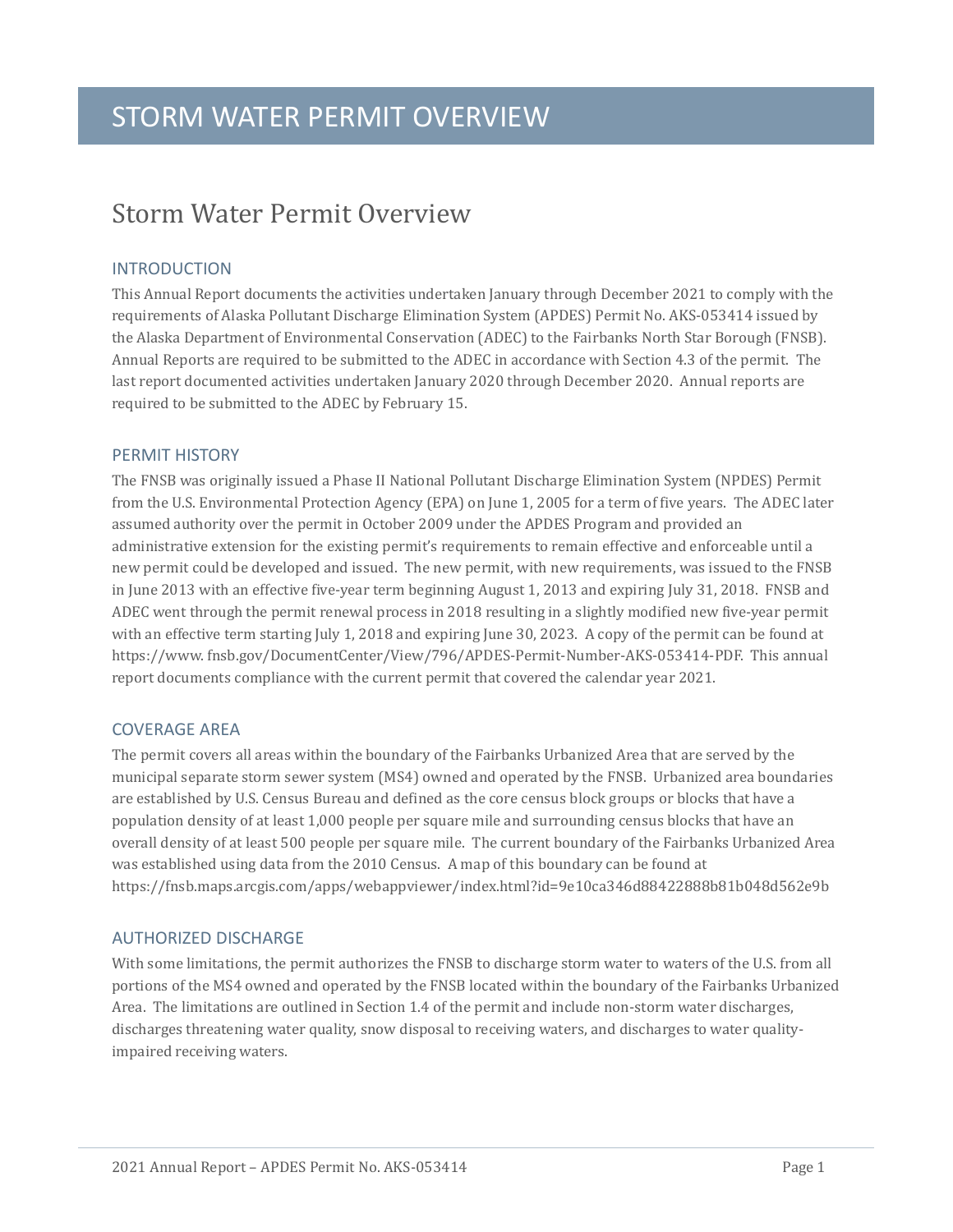### <span id="page-4-0"></span>Storm Water Permit Overview

#### <span id="page-4-1"></span>INTRODUCTION

This Annual Report documents the activities undertaken January through December 2021 to comply with the requirements of Alaska Pollutant Discharge Elimination System (APDES) Permit No. AKS-053414 issued by the Alaska Department of Environmental Conservation (ADEC) to the Fairbanks North Star Borough (FNSB). Annual Reports are required to be submitted to the ADEC in accordance with Section 4.3 of the permit. The last report documented activities undertaken January 2020 through December 2020. Annual reports are required to be submitted to the ADEC by February 15.

#### <span id="page-4-2"></span>PERMIT HISTORY

The FNSB was originally issued a Phase II National Pollutant Discharge Elimination System (NPDES) Permit from the U.S. Environmental Protection Agency (EPA) on June 1, 2005 for a term of five years. The ADEC later assumed authority over the permit in October 2009 under the APDES Program and provided an administrative extension for the existing permit's requirements to remain effective and enforceable until a new permit could be developed and issued. The new permit, with new requirements, was issued to the FNSB in June 2013 with an effective five-year term beginning August 1, 2013 and expiring July 31, 2018. FNSB and ADEC went through the permit renewal process in 2018 resulting in a slightly modified new five-year permit with an effective term starting July 1, 2018 and expiring June 30, 2023. A copy of the permit can be found at https://www. fnsb.gov/DocumentCenter/View/796/APDES-Permit-Number-AKS-053414-PDF. This annual report documents compliance with the current permit that covered the calendar year 2021.

#### <span id="page-4-3"></span>COVERAGE AREA

The permit covers all areas within the boundary of the Fairbanks Urbanized Area that are served by the municipal separate storm sewer system (MS4) owned and operated by the FNSB. Urbanized area boundaries are established by U.S. Census Bureau and defined as the core census block groups or blocks that have a population density of at least 1,000 people per square mile and surrounding census blocks that have an overall density of at least 500 people per square mile. The current boundary of the Fairbanks Urbanized Area was established using data from the 2010 Census. A map of this boundary can be found at https://fnsb.maps.arcgis.com/apps/webappviewer/index.html?id=9e10ca346d88422888b81b048d562e9b

#### <span id="page-4-4"></span>AUTHORIZED DISCHARGE

With some limitations, the permit authorizes the FNSB to discharge storm water to waters of the U.S. from all portions of the MS4 owned and operated by the FNSB located within the boundary of the Fairbanks Urbanized Area. The limitations are outlined in Section 1.4 of the permit and include non-storm water discharges, discharges threatening water quality, snow disposal to receiving waters, and discharges to water qualityimpaired receiving waters.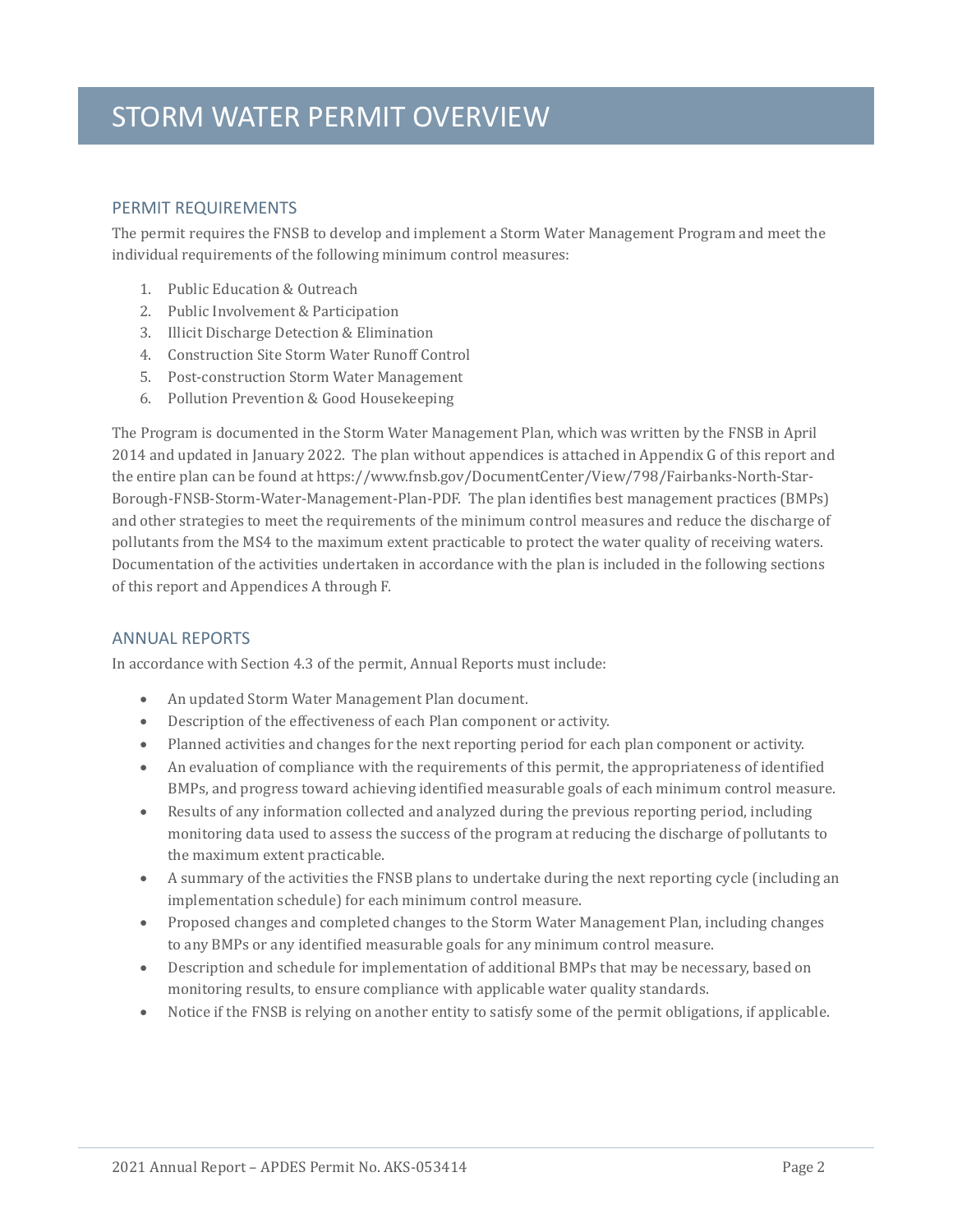#### <span id="page-5-0"></span>PERMIT REQUIREMENTS

The permit requires the FNSB to develop and implement a Storm Water Management Program and meet the individual requirements of the following minimum control measures:

- 1. Public Education & Outreach
- 2. Public Involvement & Participation
- 3. Illicit Discharge Detection & Elimination
- 4. Construction Site Storm Water Runoff Control
- 5. Post-construction Storm Water Management
- 6. Pollution Prevention & Good Housekeeping

The Program is documented in the Storm Water Management Plan, which was written by the FNSB in April 2014 and updated in January 2022. The plan without appendices is attached in Appendix G of this report and the entire plan can be found at https://www.fnsb.gov/DocumentCenter/View/798/Fairbanks-North-Star-Borough-FNSB-Storm-Water-Management-Plan-PDF. The plan identifies best management practices (BMPs) and other strategies to meet the requirements of the minimum control measures and reduce the discharge of pollutants from the MS4 to the maximum extent practicable to protect the water quality of receiving waters. Documentation of the activities undertaken in accordance with the plan is included in the following sections of this report and Appendices A through F.

#### <span id="page-5-1"></span>ANNUAL REPORTS

In accordance with Section 4.3 of the permit, Annual Reports must include:

- An updated Storm Water Management Plan document.
- Description of the effectiveness of each Plan component or activity.
- Planned activities and changes for the next reporting period for each plan component or activity.
- An evaluation of compliance with the requirements of this permit, the appropriateness of identified BMPs, and progress toward achieving identified measurable goals of each minimum control measure.
- Results of any information collected and analyzed during the previous reporting period, including monitoring data used to assess the success of the program at reducing the discharge of pollutants to the maximum extent practicable.
- A summary of the activities the FNSB plans to undertake during the next reporting cycle (including an implementation schedule) for each minimum control measure.
- Proposed changes and completed changes to the Storm Water Management Plan, including changes to any BMPs or any identified measurable goals for any minimum control measure.
- Description and schedule for implementation of additional BMPs that may be necessary, based on monitoring results, to ensure compliance with applicable water quality standards.
- Notice if the FNSB is relying on another entity to satisfy some of the permit obligations, if applicable.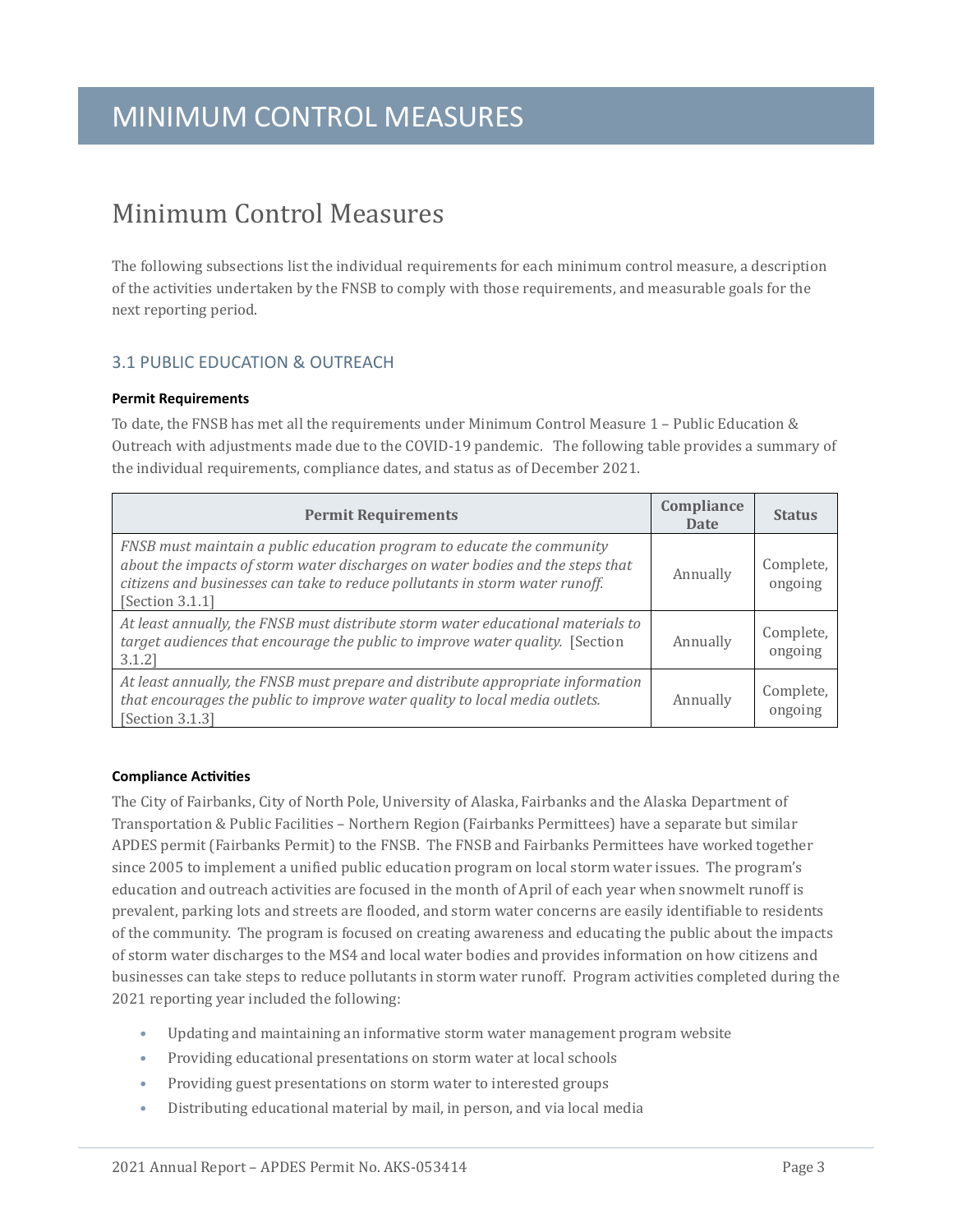### <span id="page-6-0"></span>Minimum Control Measures

The following subsections list the individual requirements for each minimum control measure, a description of the activities undertaken by the FNSB to comply with those requirements, and measurable goals for the next reporting period.

#### <span id="page-6-1"></span>3.1 PUBLIC EDUCATION & OUTREACH

#### <span id="page-6-2"></span>**Permit Requirements**

To date, the FNSB has met all the requirements under Minimum Control Measure 1 – Public Education & Outreach with adjustments made due to the COVID-19 pandemic. The following table provides a summary of the individual requirements, compliance dates, and status as of December 2021.

| <b>Permit Requirements</b>                                                                                                                                                                                                                                  | Compliance<br>Date | <b>Status</b>        |
|-------------------------------------------------------------------------------------------------------------------------------------------------------------------------------------------------------------------------------------------------------------|--------------------|----------------------|
| FNSB must maintain a public education program to educate the community<br>about the impacts of storm water discharges on water bodies and the steps that<br>citizens and businesses can take to reduce pollutants in storm water runoff.<br>[Section 3.1.1] | Annually           | Complete,<br>ongoing |
| At least annually, the FNSB must distribute storm water educational materials to<br>target audiences that encourage the public to improve water quality. [Section<br>$3.1.2$ ]                                                                              | Annually           | Complete,<br>ongoing |
| At least annually, the FNSB must prepare and distribute appropriate information<br>that encourages the public to improve water quality to local media outlets.<br>[Section 3.1.3]                                                                           | Annually           | Complete,<br>ongoing |

#### <span id="page-6-3"></span>**Compliance Activities**

The City of Fairbanks, City of North Pole, University of Alaska, Fairbanks and the Alaska Department of Transportation & Public Facilities – Northern Region (Fairbanks Permittees) have a separate but similar APDES permit (Fairbanks Permit) to the FNSB. The FNSB and Fairbanks Permittees have worked together since 2005 to implement a unified public education program on local storm water issues. The program's education and outreach activities are focused in the month of April of each year when snowmelt runoff is prevalent, parking lots and streets are flooded, and storm water concerns are easily identifiable to residents of the community. The program is focused on creating awareness and educating the public about the impacts of storm water discharges to the MS4 and local water bodies and provides information on how citizens and businesses can take steps to reduce pollutants in storm water runoff. Program activities completed during the 2021 reporting year included the following:

- Updating and maintaining an informative storm water management program website
- Providing educational presentations on storm water at local schools
- Providing guest presentations on storm water to interested groups
- Distributing educational material by mail, in person, and via local media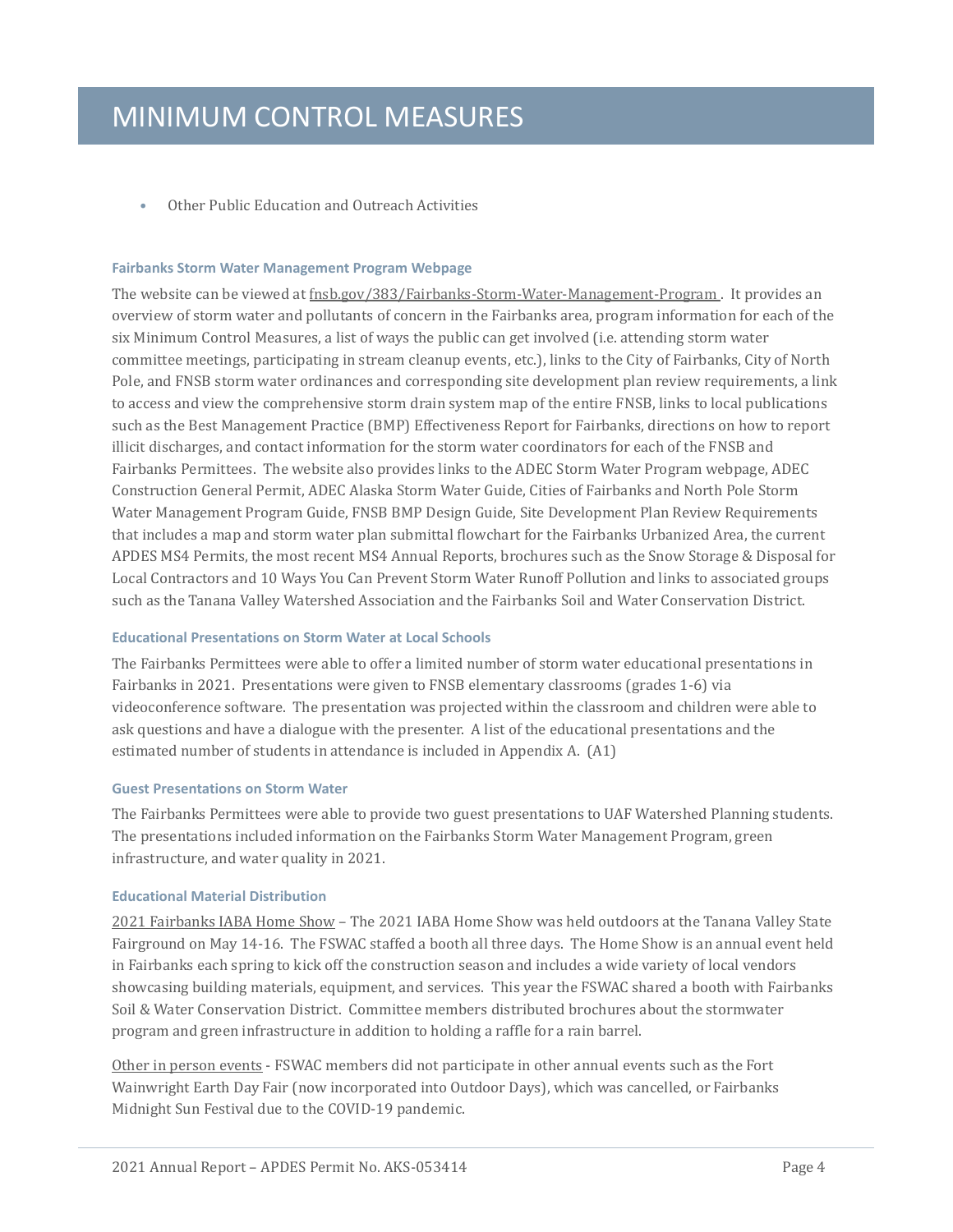• Other Public Education and Outreach Activities

#### **Fairbanks Storm Water Management Program Webpage**

The website can be viewed at fnsb.gov/383/Fairbanks-Storm-Water-Management-Program. It provides an overview of storm water and pollutants of concern in the Fairbanks area, program information for each of the six Minimum Control Measures, a list of ways the public can get involved (i.e. attending storm water committee meetings, participating in stream cleanup events, etc.), links to the City of Fairbanks, City of North Pole, and FNSB storm water ordinances and corresponding site development plan review requirements, a link to access and view the comprehensive storm drain system map of the entire FNSB, links to local publications such as the Best Management Practice (BMP) Effectiveness Report for Fairbanks, directions on how to report illicit discharges, and contact information for the storm water coordinators for each of the FNSB and Fairbanks Permittees. The website also provides links to the ADEC Storm Water Program webpage, ADEC Construction General Permit, ADEC Alaska Storm Water Guide, Cities of Fairbanks and North Pole Storm Water Management Program Guide, FNSB BMP Design Guide, Site Development Plan Review Requirements that includes a map and storm water plan submittal flowchart for the Fairbanks Urbanized Area, the current APDES MS4 Permits, the most recent MS4 Annual Reports, brochures such as the Snow Storage & Disposal for Local Contractors and 10 Ways You Can Prevent Storm Water Runoff Pollution and links to associated groups such as the Tanana Valley Watershed Association and the Fairbanks Soil and Water Conservation District.

#### **Educational Presentations on Storm Water at Local Schools**

The Fairbanks Permittees were able to offer a limited number of storm water educational presentations in Fairbanks in 2021. Presentations were given to FNSB elementary classrooms (grades 1-6) via videoconference software. The presentation was projected within the classroom and children were able to ask questions and have a dialogue with the presenter. A list of the educational presentations and the estimated number of students in attendance is included in Appendix A. (A1)

#### **Guest Presentations on Storm Water**

The Fairbanks Permittees were able to provide two guest presentations to UAF Watershed Planning students. The presentations included information on the Fairbanks Storm Water Management Program, green infrastructure, and water quality in 2021.

#### **Educational Material Distribution**

2021 Fairbanks IABA Home Show – The 2021 IABA Home Show was held outdoors at the Tanana Valley State Fairground on May 14-16. The FSWAC staffed a booth all three days. The Home Show is an annual event held in Fairbanks each spring to kick off the construction season and includes a wide variety of local vendors showcasing building materials, equipment, and services. This year the FSWAC shared a booth with Fairbanks Soil & Water Conservation District. Committee members distributed brochures about the stormwater program and green infrastructure in addition to holding a raffle for a rain barrel.

Other in person events - FSWAC members did not participate in other annual events such as the Fort Wainwright Earth Day Fair (now incorporated into Outdoor Days), which was cancelled, or Fairbanks Midnight Sun Festival due to the COVID-19 pandemic.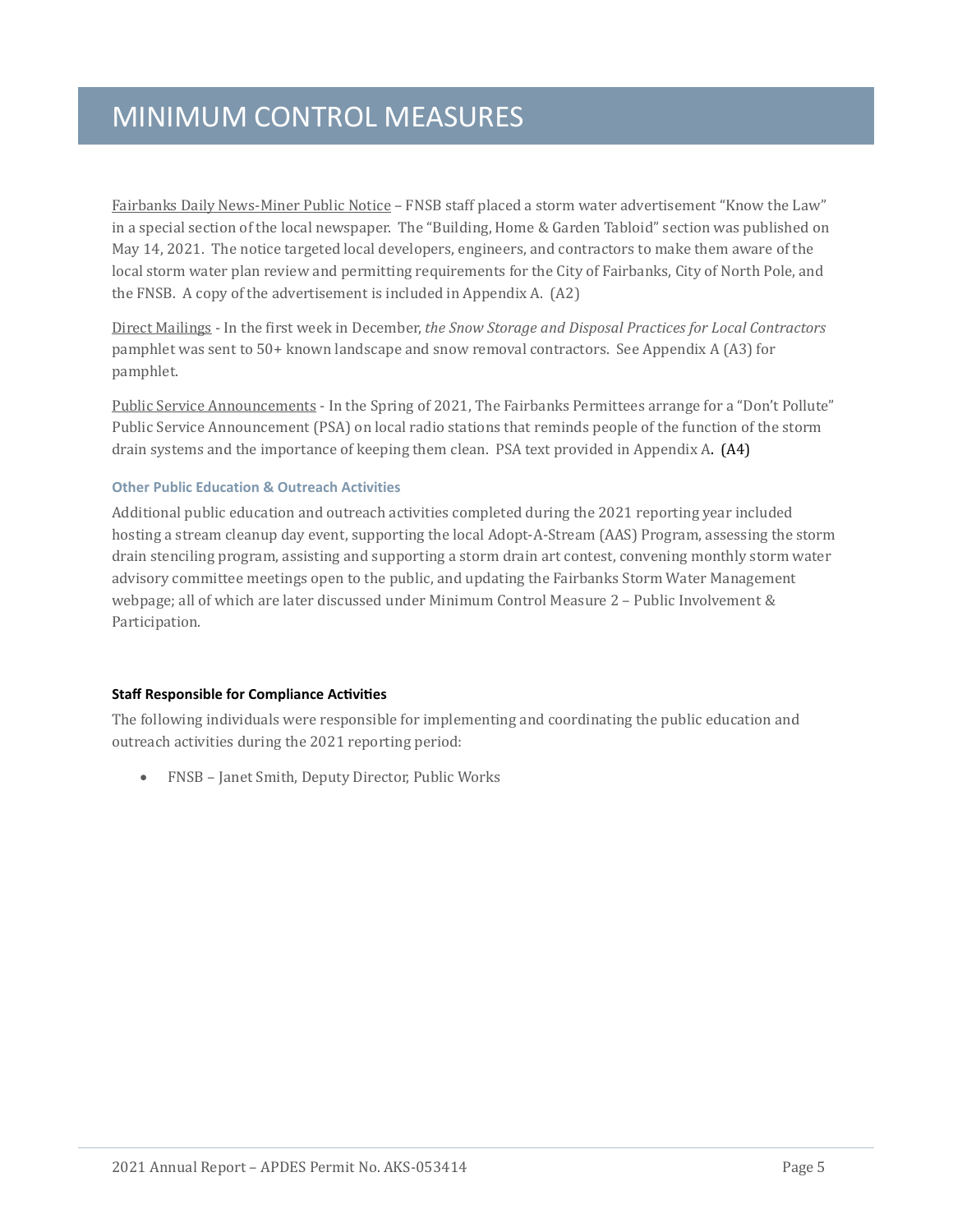Fairbanks Daily News-Miner Public Notice – FNSB staff placed a storm water advertisement "Know the Law" in a special section of the local newspaper. The "Building, Home & Garden Tabloid" section was published on May 14, 2021. The notice targeted local developers, engineers, and contractors to make them aware of the local storm water plan review and permitting requirements for the City of Fairbanks, City of North Pole, and the FNSB. A copy of the advertisement is included in Appendix A. (A2)

Direct Mailings - In the first week in December, *the Snow Storage and Disposal Practices for Local Contractors* pamphlet was sent to 50+ known landscape and snow removal contractors. See Appendix A (A3) for pamphlet.

Public Service Announcements - In the Spring of 2021, The Fairbanks Permittees arrange for a "Don't Pollute" Public Service Announcement (PSA) on local radio stations that reminds people of the function of the storm drain systems and the importance of keeping them clean. PSA text provided in Appendix A. (A4)

#### **Other Public Education & Outreach Activities**

Additional public education and outreach activities completed during the 2021 reporting year included hosting a stream cleanup day event, supporting the local Adopt-A-Stream (AAS) Program, assessing the storm drain stenciling program, assisting and supporting a storm drain art contest, convening monthly storm water advisory committee meetings open to the public, and updating the Fairbanks Storm Water Management webpage; all of which are later discussed under Minimum Control Measure 2 – Public Involvement & Participation.

#### <span id="page-8-0"></span>**Staff Responsible for Compliance Activities**

The following individuals were responsible for implementing and coordinating the public education and outreach activities during the 2021 reporting period:

• FNSB – Janet Smith, Deputy Director, Public Works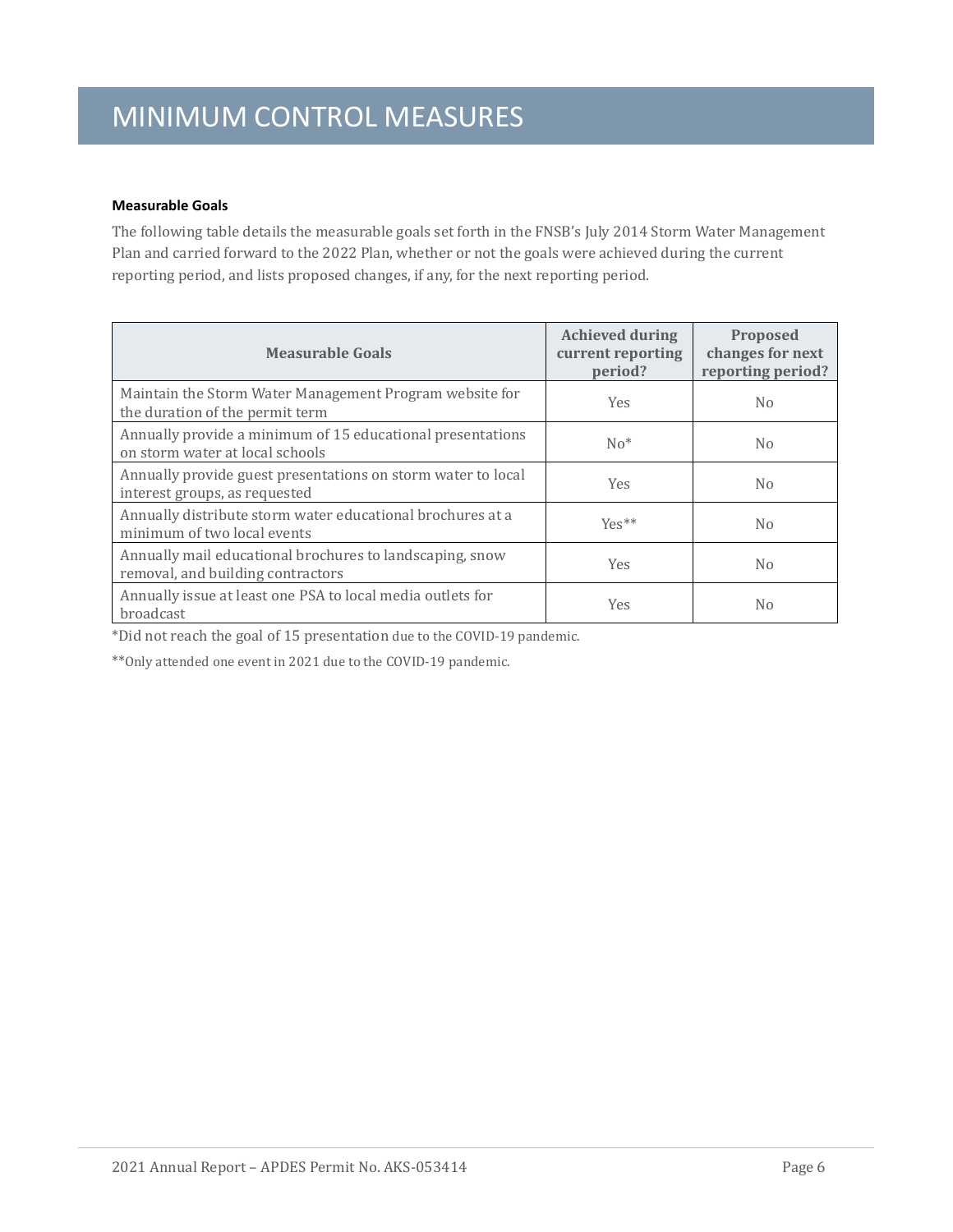#### <span id="page-9-0"></span>**Measurable Goals**

The following table details the measurable goals set forth in the FNSB's July 2014 Storm Water Management Plan and carried forward to the 2022 Plan, whether or not the goals were achieved during the current reporting period, and lists proposed changes, if any, for the next reporting period.

| <b>Measurable Goals</b>                                                                       | <b>Achieved during</b><br>current reporting<br>period? | <b>Proposed</b><br>changes for next<br>reporting period? |
|-----------------------------------------------------------------------------------------------|--------------------------------------------------------|----------------------------------------------------------|
| Maintain the Storm Water Management Program website for<br>the duration of the permit term    | <b>Yes</b>                                             | No.                                                      |
| Annually provide a minimum of 15 educational presentations<br>on storm water at local schools | $No*$                                                  | N <sub>0</sub>                                           |
| Annually provide guest presentations on storm water to local<br>interest groups, as requested | <b>Yes</b>                                             | N <sub>0</sub>                                           |
| Annually distribute storm water educational brochures at a<br>minimum of two local events     | $Yes**$                                                | N <sub>0</sub>                                           |
| Annually mail educational brochures to landscaping, snow<br>removal, and building contractors | Yes.                                                   | No.                                                      |
| Annually issue at least one PSA to local media outlets for<br>broadcast                       | Yes                                                    | No.                                                      |

\*Did not reach the goal of 15 presentation due to the COVID-19 pandemic.

\*\*Only attended one event in 2021 due to the COVID-19 pandemic.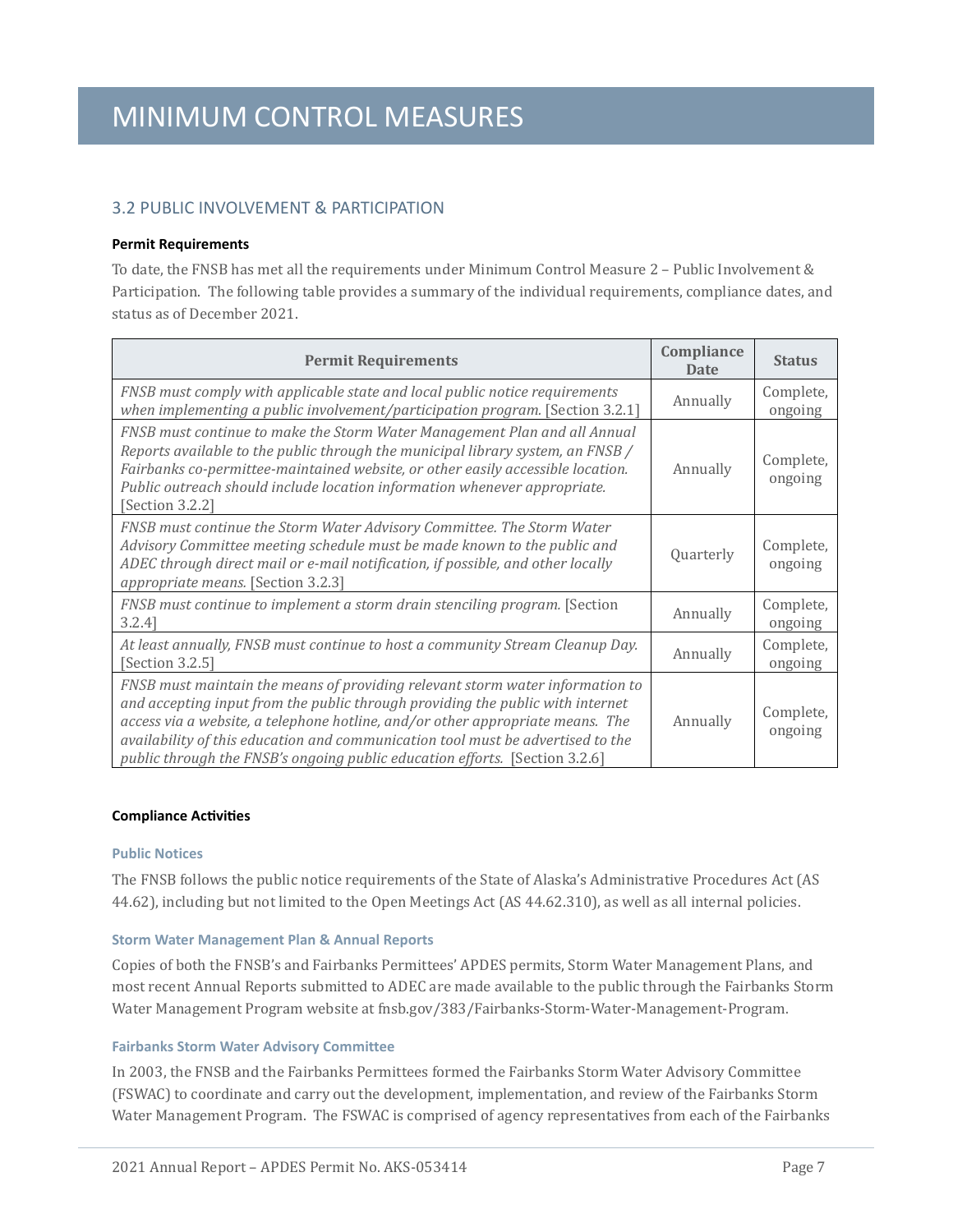#### <span id="page-10-0"></span>3.2 PUBLIC INVOLVEMENT & PARTICIPATION

#### <span id="page-10-1"></span>**Permit Requirements**

To date, the FNSB has met all the requirements under Minimum Control Measure 2 – Public Involvement & Participation. The following table provides a summary of the individual requirements, compliance dates, and status as of December 2021.

| <b>Permit Requirements</b>                                                                                                                                                                                                                                                                                                                                                                                          | Compliance<br><b>Date</b> | <b>Status</b>        |
|---------------------------------------------------------------------------------------------------------------------------------------------------------------------------------------------------------------------------------------------------------------------------------------------------------------------------------------------------------------------------------------------------------------------|---------------------------|----------------------|
| FNSB must comply with applicable state and local public notice requirements<br>when implementing a public involvement/participation program. [Section 3.2.1]                                                                                                                                                                                                                                                        | Annually                  | Complete,<br>ongoing |
| FNSB must continue to make the Storm Water Management Plan and all Annual<br>Reports available to the public through the municipal library system, an FNSB /<br>Fairbanks co-permittee-maintained website, or other easily accessible location.<br>Public outreach should include location information whenever appropriate.<br>Section 3.2.21                                                                      | Annually                  | Complete,<br>ongoing |
| FNSB must continue the Storm Water Advisory Committee. The Storm Water<br>Advisory Committee meeting schedule must be made known to the public and<br>ADEC through direct mail or e-mail notification, if possible, and other locally<br>appropriate means. [Section 3.2.3]                                                                                                                                         | Quarterly                 | Complete,<br>ongoing |
| FNSB must continue to implement a storm drain stenciling program. [Section]<br>$3.2.4$ ]                                                                                                                                                                                                                                                                                                                            | Annually                  | Complete,<br>ongoing |
| At least annually, FNSB must continue to host a community Stream Cleanup Day.<br>[Section 3.2.5]                                                                                                                                                                                                                                                                                                                    | Annually                  | Complete,<br>ongoing |
| FNSB must maintain the means of providing relevant storm water information to<br>and accepting input from the public through providing the public with internet<br>access via a website, a telephone hotline, and/or other appropriate means. The<br>availability of this education and communication tool must be advertised to the<br>public through the FNSB's ongoing public education efforts. [Section 3.2.6] | Annually                  | Complete,<br>ongoing |

#### <span id="page-10-2"></span>**Compliance Activities**

#### **Public Notices**

The FNSB follows the public notice requirements of the State of Alaska's Administrative Procedures Act (AS 44.62), including but not limited to the Open Meetings Act (AS 44.62.310), as well as all internal policies.

#### **Storm Water Management Plan & Annual Reports**

Copies of both the FNSB's and Fairbanks Permittees' APDES permits, Storm Water Management Plans, and most recent Annual Reports submitted to ADEC are made available to the public through the Fairbanks Storm Water Management Program website at fnsb.gov/383/Fairbanks-Storm-Water-Management-Program.

#### **Fairbanks Storm Water Advisory Committee**

In 2003, the FNSB and the Fairbanks Permittees formed the Fairbanks Storm Water Advisory Committee (FSWAC) to coordinate and carry out the development, implementation, and review of the Fairbanks Storm Water Management Program. The FSWAC is comprised of agency representatives from each of the Fairbanks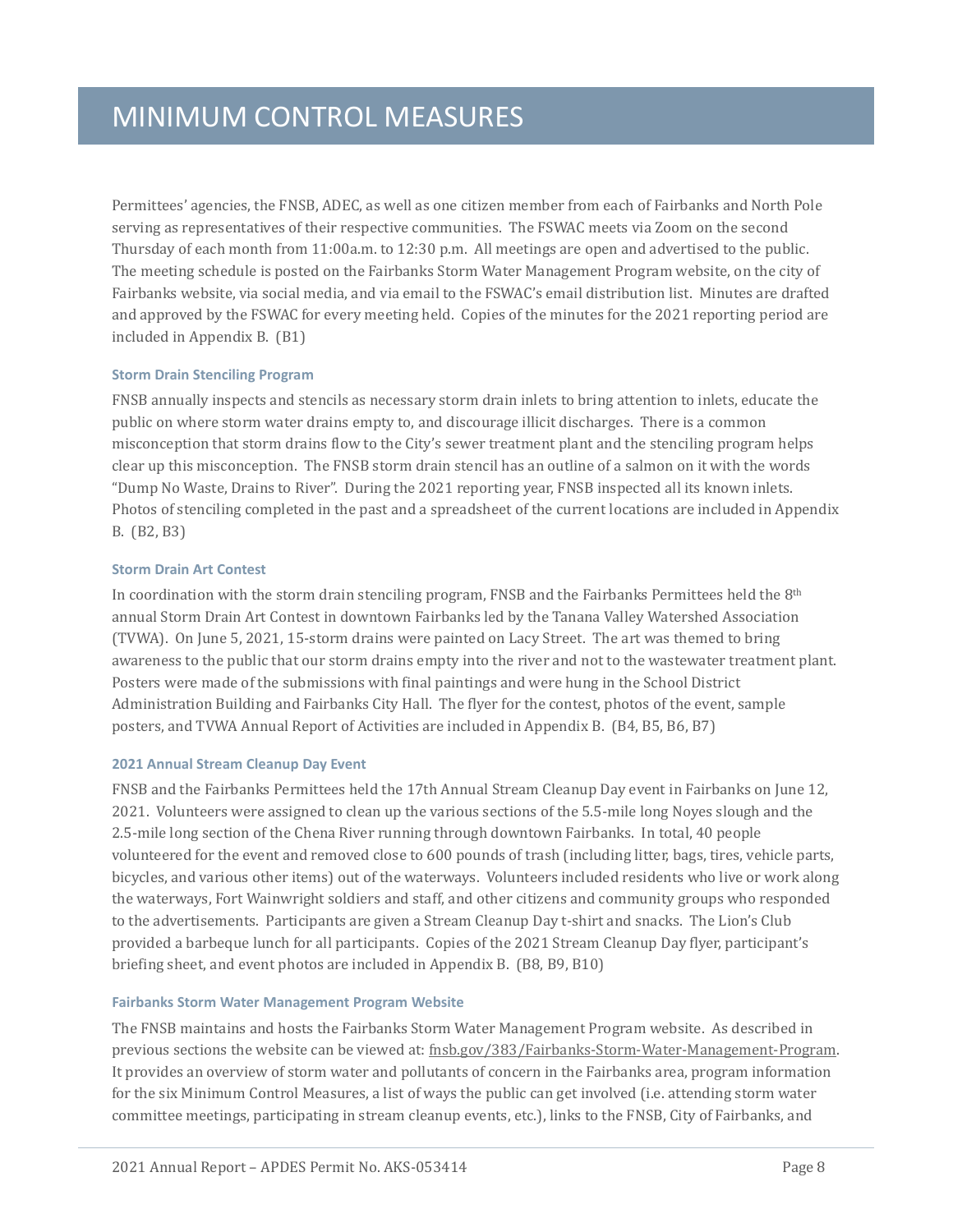Permittees' agencies, the FNSB, ADEC, as well as one citizen member from each of Fairbanks and North Pole serving as representatives of their respective communities. The FSWAC meets via Zoom on the second Thursday of each month from 11:00a.m. to 12:30 p.m. All meetings are open and advertised to the public. The meeting schedule is posted on the Fairbanks Storm Water Management Program website, on the city of Fairbanks website, via social media, and via email to the FSWAC's email distribution list. Minutes are drafted and approved by the FSWAC for every meeting held. Copies of the minutes for the 2021 reporting period are included in Appendix B. (B1)

#### **Storm Drain Stenciling Program**

FNSB annually inspects and stencils as necessary storm drain inlets to bring attention to inlets, educate the public on where storm water drains empty to, and discourage illicit discharges. There is a common misconception that storm drains flow to the City's sewer treatment plant and the stenciling program helps clear up this misconception. The FNSB storm drain stencil has an outline of a salmon on it with the words "Dump No Waste, Drains to River". During the 2021 reporting year, FNSB inspected all its known inlets. Photos of stenciling completed in the past and a spreadsheet of the current locations are included in Appendix B. (B2, B3)

#### **Storm Drain Art Contest**

In coordination with the storm drain stenciling program, FNSB and the Fairbanks Permittees held the  $8<sup>th</sup>$ annual Storm Drain Art Contest in downtown Fairbanks led by the Tanana Valley Watershed Association (TVWA). On June 5, 2021, 15-storm drains were painted on Lacy Street. The art was themed to bring awareness to the public that our storm drains empty into the river and not to the wastewater treatment plant. Posters were made of the submissions with final paintings and were hung in the School District Administration Building and Fairbanks City Hall. The flyer for the contest, photos of the event, sample posters, and TVWA Annual Report of Activities are included in Appendix B. (B4, B5, B6, B7)

#### **2021 Annual Stream Cleanup Day Event**

FNSB and the Fairbanks Permittees held the 17th Annual Stream Cleanup Day event in Fairbanks on June 12, 2021. Volunteers were assigned to clean up the various sections of the 5.5-mile long Noyes slough and the 2.5-mile long section of the Chena River running through downtown Fairbanks. In total, 40 people volunteered for the event and removed close to 600 pounds of trash (including litter, bags, tires, vehicle parts, bicycles, and various other items) out of the waterways. Volunteers included residents who live or work along the waterways, Fort Wainwright soldiers and staff, and other citizens and community groups who responded to the advertisements. Participants are given a Stream Cleanup Day t-shirt and snacks. The Lion's Club provided a barbeque lunch for all participants. Copies of the 2021 Stream Cleanup Day flyer, participant's briefing sheet, and event photos are included in Appendix B. (B8, B9, B10)

#### **Fairbanks Storm Water Management Program Website**

The FNSB maintains and hosts the Fairbanks Storm Water Management Program website. As described in previous sections the website can be viewed at: [fnsb.gov/383/Fairbanks-Storm-Water-Management-Program.](http://fnsb.gov/383/Fairbanks-Storm-Water-Management-Program)  It provides an overview of storm water and pollutants of concern in the Fairbanks area, program information for the six Minimum Control Measures, a list of ways the public can get involved (i.e. attending storm water committee meetings, participating in stream cleanup events, etc.), links to the FNSB, City of Fairbanks, and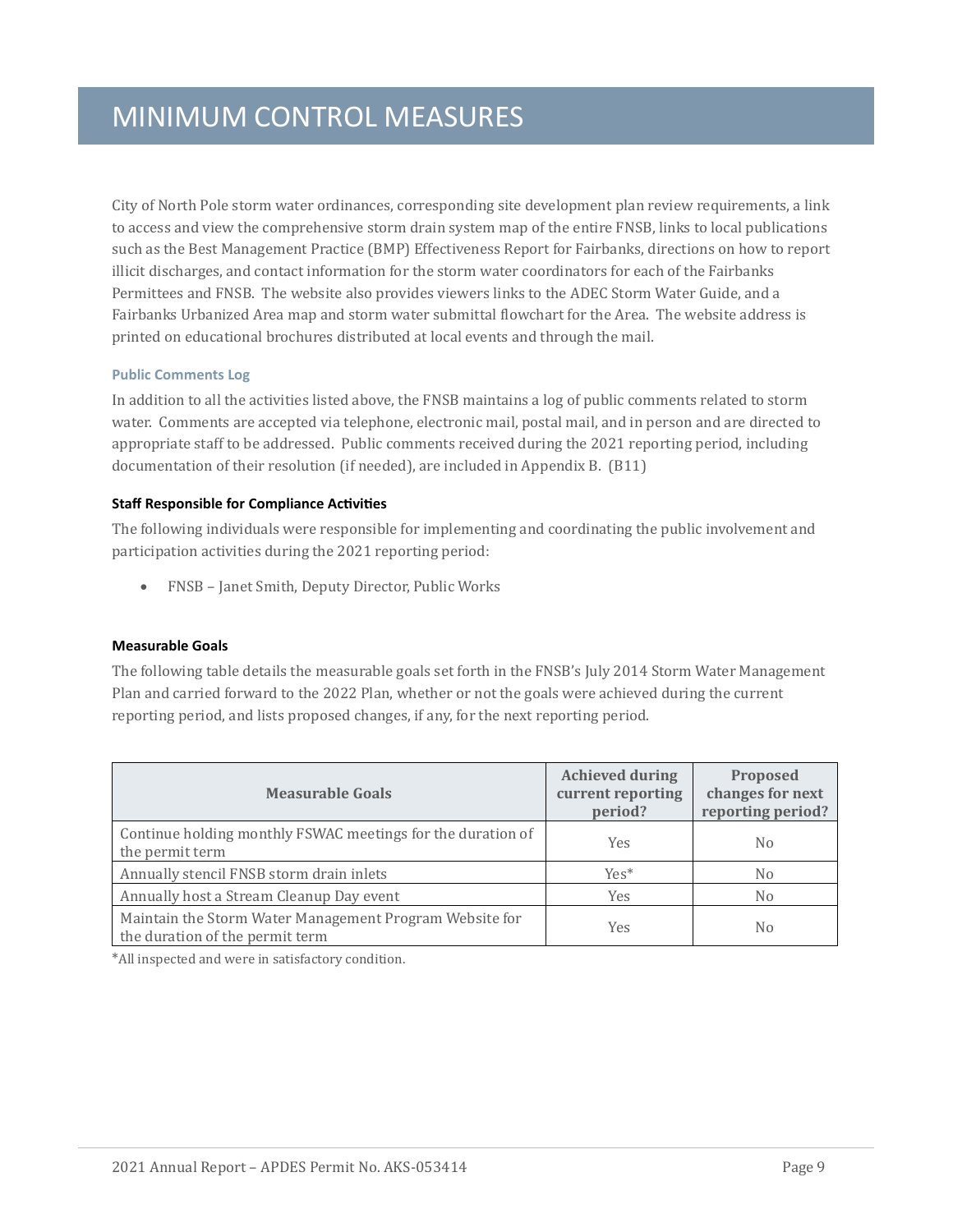City of North Pole storm water ordinances, corresponding site development plan review requirements, a link to access and view the comprehensive storm drain system map of the entire FNSB, links to local publications such as the Best Management Practice (BMP) Effectiveness Report for Fairbanks, directions on how to report illicit discharges, and contact information for the storm water coordinators for each of the Fairbanks Permittees and FNSB. The website also provides viewers links to the ADEC Storm Water Guide, and a Fairbanks Urbanized Area map and storm water submittal flowchart for the Area. The website address is printed on educational brochures distributed at local events and through the mail.

#### **Public Comments Log**

In addition to all the activities listed above, the FNSB maintains a log of public comments related to storm water. Comments are accepted via telephone, electronic mail, postal mail, and in person and are directed to appropriate staff to be addressed. Public comments received during the 2021 reporting period, including documentation of their resolution (if needed), are included in Appendix B. (B11)

#### <span id="page-12-0"></span>**Staff Responsible for Compliance Activities**

The following individuals were responsible for implementing and coordinating the public involvement and participation activities during the 2021 reporting period:

• FNSB – Janet Smith, Deputy Director, Public Works

#### <span id="page-12-1"></span>**Measurable Goals**

The following table details the measurable goals set forth in the FNSB's July 2014 Storm Water Management Plan and carried forward to the 2022 Plan, whether or not the goals were achieved during the current reporting period, and lists proposed changes, if any, for the next reporting period.

| <b>Measurable Goals</b>                                                                    | <b>Achieved during</b><br>current reporting<br>period? | Proposed<br>changes for next<br>reporting period? |
|--------------------------------------------------------------------------------------------|--------------------------------------------------------|---------------------------------------------------|
| Continue holding monthly FSWAC meetings for the duration of<br>the permit term             | Yes                                                    | No.                                               |
| Annually stencil FNSB storm drain inlets                                                   | $Yes*$                                                 | N <sub>0</sub>                                    |
| Annually host a Stream Cleanup Day event                                                   | Yes                                                    | No.                                               |
| Maintain the Storm Water Management Program Website for<br>the duration of the permit term | Yes                                                    | No.                                               |

\*All inspected and were in satisfactory condition.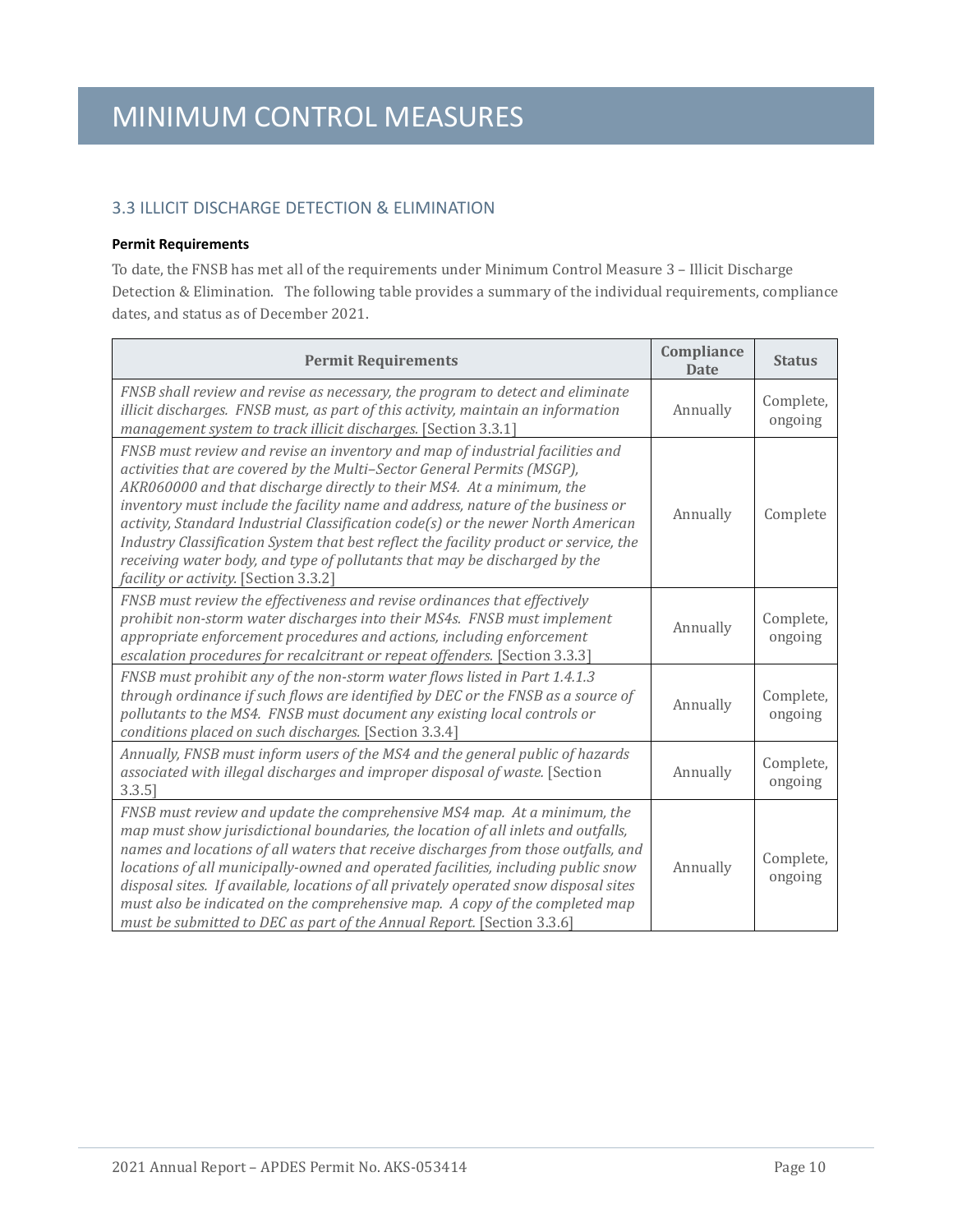#### <span id="page-13-0"></span>3.3 ILLICIT DISCHARGE DETECTION & ELIMINATION

#### <span id="page-13-1"></span>**Permit Requirements**

To date, the FNSB has met all of the requirements under Minimum Control Measure 3 – Illicit Discharge Detection & Elimination. The following table provides a summary of the individual requirements, compliance dates, and status as of December 2021.

| <b>Permit Requirements</b>                                                                                                                                                                                                                                                                                                                                                                                                                                                                                                                                                                                               | Compliance<br><b>Date</b> | <b>Status</b>        |
|--------------------------------------------------------------------------------------------------------------------------------------------------------------------------------------------------------------------------------------------------------------------------------------------------------------------------------------------------------------------------------------------------------------------------------------------------------------------------------------------------------------------------------------------------------------------------------------------------------------------------|---------------------------|----------------------|
| FNSB shall review and revise as necessary, the program to detect and eliminate<br>illicit discharges. FNSB must, as part of this activity, maintain an information<br>management system to track illicit discharges. [Section 3.3.1]                                                                                                                                                                                                                                                                                                                                                                                     | Annually                  | Complete,<br>ongoing |
| FNSB must review and revise an inventory and map of industrial facilities and<br>activities that are covered by the Multi-Sector General Permits (MSGP),<br>AKR060000 and that discharge directly to their MS4. At a minimum, the<br>inventory must include the facility name and address, nature of the business or<br>activity, Standard Industrial Classification code(s) or the newer North American<br>Industry Classification System that best reflect the facility product or service, the<br>receiving water body, and type of pollutants that may be discharged by the<br>facility or activity. [Section 3.3.2] | Annually                  | Complete             |
| FNSB must review the effectiveness and revise ordinances that effectively<br>prohibit non-storm water discharges into their MS4s. FNSB must implement<br>appropriate enforcement procedures and actions, including enforcement<br>escalation procedures for recalcitrant or repeat offenders. [Section 3.3.3]                                                                                                                                                                                                                                                                                                            | Annually                  | Complete,<br>ongoing |
| FNSB must prohibit any of the non-storm water flows listed in Part 1.4.1.3<br>through ordinance if such flows are identified by DEC or the FNSB as a source of<br>pollutants to the MS4. FNSB must document any existing local controls or<br>conditions placed on such discharges. [Section 3.3.4]                                                                                                                                                                                                                                                                                                                      | Annually                  | Complete,<br>ongoing |
| Annually, FNSB must inform users of the MS4 and the general public of hazards<br>associated with illegal discharges and improper disposal of waste. [Section<br>$3.3.5$ ]                                                                                                                                                                                                                                                                                                                                                                                                                                                | Annually                  | Complete,<br>ongoing |
| FNSB must review and update the comprehensive MS4 map. At a minimum, the<br>map must show jurisdictional boundaries, the location of all inlets and outfalls,<br>names and locations of all waters that receive discharges from those outfalls, and<br>locations of all municipally-owned and operated facilities, including public snow<br>disposal sites. If available, locations of all privately operated snow disposal sites<br>must also be indicated on the comprehensive map. A copy of the completed map<br>must be submitted to DEC as part of the Annual Report. [Section 3.3.6]                              | Annually                  | Complete,<br>ongoing |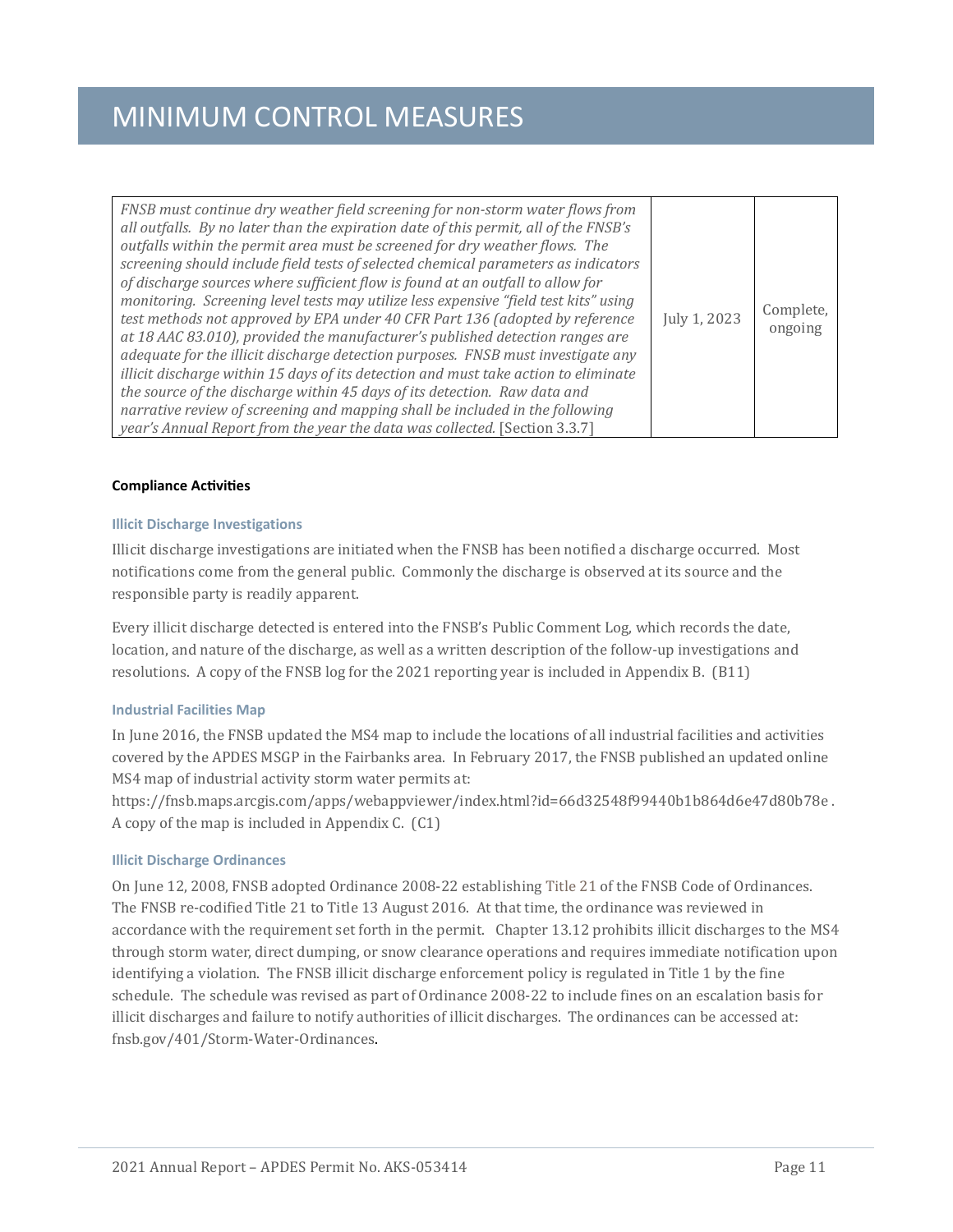| FNSB must continue dry weather field screening for non-storm water flows from<br>all outfalls. By no later than the expiration date of this permit, all of the FNSB's<br>outfalls within the permit area must be screened for dry weather flows. The<br>screening should include field tests of selected chemical parameters as indicators<br>of discharge sources where sufficient flow is found at an outfall to allow for<br>monitoring. Screening level tests may utilize less expensive "field test kits" using<br>test methods not approved by EPA under 40 CFR Part 136 (adopted by reference<br>at 18 AAC 83.010), provided the manufacturer's published detection ranges are<br>adequate for the illicit discharge detection purposes. FNSB must investigate any<br>illicit discharge within 15 days of its detection and must take action to eliminate<br>the source of the discharge within 45 days of its detection. Raw data and<br>narrative review of screening and mapping shall be included in the following<br>year's Annual Report from the year the data was collected. [Section 3.3.7] | July 1, 2023 | Complete,<br>ongoing |
|-------------------------------------------------------------------------------------------------------------------------------------------------------------------------------------------------------------------------------------------------------------------------------------------------------------------------------------------------------------------------------------------------------------------------------------------------------------------------------------------------------------------------------------------------------------------------------------------------------------------------------------------------------------------------------------------------------------------------------------------------------------------------------------------------------------------------------------------------------------------------------------------------------------------------------------------------------------------------------------------------------------------------------------------------------------------------------------------------------------|--------------|----------------------|
|-------------------------------------------------------------------------------------------------------------------------------------------------------------------------------------------------------------------------------------------------------------------------------------------------------------------------------------------------------------------------------------------------------------------------------------------------------------------------------------------------------------------------------------------------------------------------------------------------------------------------------------------------------------------------------------------------------------------------------------------------------------------------------------------------------------------------------------------------------------------------------------------------------------------------------------------------------------------------------------------------------------------------------------------------------------------------------------------------------------|--------------|----------------------|

#### <span id="page-14-0"></span>**Compliance Activities**

#### **Illicit Discharge Investigations**

Illicit discharge investigations are initiated when the FNSB has been notified a discharge occurred. Most notifications come from the general public. Commonly the discharge is observed at its source and the responsible party is readily apparent.

Every illicit discharge detected is entered into the FNSB's Public Comment Log, which records the date, location, and nature of the discharge, as well as a written description of the follow-up investigations and resolutions. A copy of the FNSB log for the 2021 reporting year is included in Appendix B. (B11)

#### **Industrial Facilities Map**

In June 2016, the FNSB updated the MS4 map to include the locations of all industrial facilities and activities covered by the APDES MSGP in the Fairbanks area. In February 2017, the FNSB published an updated online MS4 map of industrial activity storm water permits at:

https://fnsb.maps.arcgis.com/apps/webappviewer/index.html?id=66d32548f99440b1b864d6e47d80b78e . A copy of the map is included in Appendix C. (C1)

#### **Illicit Discharge Ordinances**

On June 12, 2008, FNSB adopted Ordinance 2008-22 establishing Title 21 of the FNSB Code of Ordinances. The FNSB re-codified Title 21 to Title 13 August 2016. At that time, the ordinance was reviewed in accordance with the requirement set forth in the permit. Chapter 13.12 prohibits illicit discharges to the MS4 through storm water, direct dumping, or snow clearance operations and requires immediate notification upon identifying a violation. The FNSB illicit discharge enforcement policy is regulated in Title 1 by the fine schedule. The schedule was revised as part of Ordinance 2008-22 to include fines on an escalation basis for illicit discharges and failure to notify authorities of illicit discharges. The ordinances can be accessed at: fnsb.gov/401/Storm-Water-Ordinances.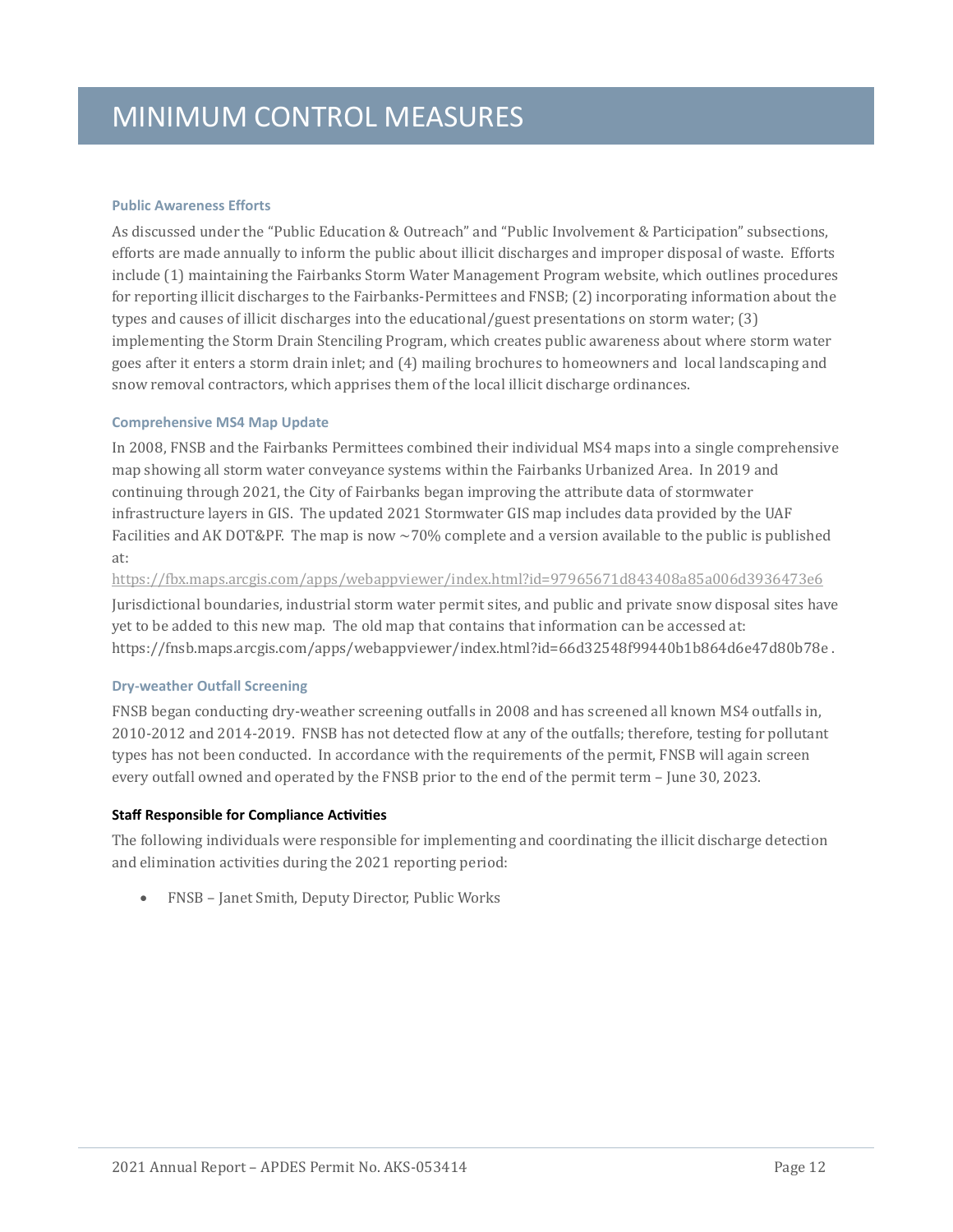#### **Public Awareness Efforts**

As discussed under the "Public Education & Outreach" and "Public Involvement & Participation" subsections, efforts are made annually to inform the public about illicit discharges and improper disposal of waste. Efforts include (1) maintaining the Fairbanks Storm Water Management Program website, which outlines procedures for reporting illicit discharges to the Fairbanks-Permittees and FNSB; (2) incorporating information about the types and causes of illicit discharges into the educational/guest presentations on storm water; (3) implementing the Storm Drain Stenciling Program, which creates public awareness about where storm water goes after it enters a storm drain inlet; and (4) mailing brochures to homeowners and local landscaping and snow removal contractors, which apprises them of the local illicit discharge ordinances.

#### **Comprehensive MS4 Map Update**

In 2008, FNSB and the Fairbanks Permittees combined their individual MS4 maps into a single comprehensive map showing all storm water conveyance systems within the Fairbanks Urbanized Area. In 2019 and continuing through 2021, the City of Fairbanks began improving the attribute data of stormwater infrastructure layers in GIS. The updated 2021 Stormwater GIS map includes data provided by the UAF Facilities and AK DOT&PF. The map is now ~70% complete and a version available to the public is published at:

<https://fbx.maps.arcgis.com/apps/webappviewer/index.html?id=97965671d843408a85a006d3936473e6> Jurisdictional boundaries, industrial storm water permit sites, and public and private snow disposal sites have yet to be added to this new map. The old map that contains that information can be accessed at: https://fnsb.maps.arcgis.com/apps/webappviewer/index.html?id=66d32548f99440b1b864d6e47d80b78e .

#### **Dry-weather Outfall Screening**

FNSB began conducting dry-weather screening outfalls in 2008 and has screened all known MS4 outfalls in, 2010-2012 and 2014-2019. FNSB has not detected flow at any of the outfalls; therefore, testing for pollutant types has not been conducted. In accordance with the requirements of the permit, FNSB will again screen every outfall owned and operated by the FNSB prior to the end of the permit term – June 30, 2023.

#### <span id="page-15-0"></span>**Staff Responsible for Compliance Activities**

The following individuals were responsible for implementing and coordinating the illicit discharge detection and elimination activities during the 2021 reporting period:

• FNSB – Janet Smith, Deputy Director, Public Works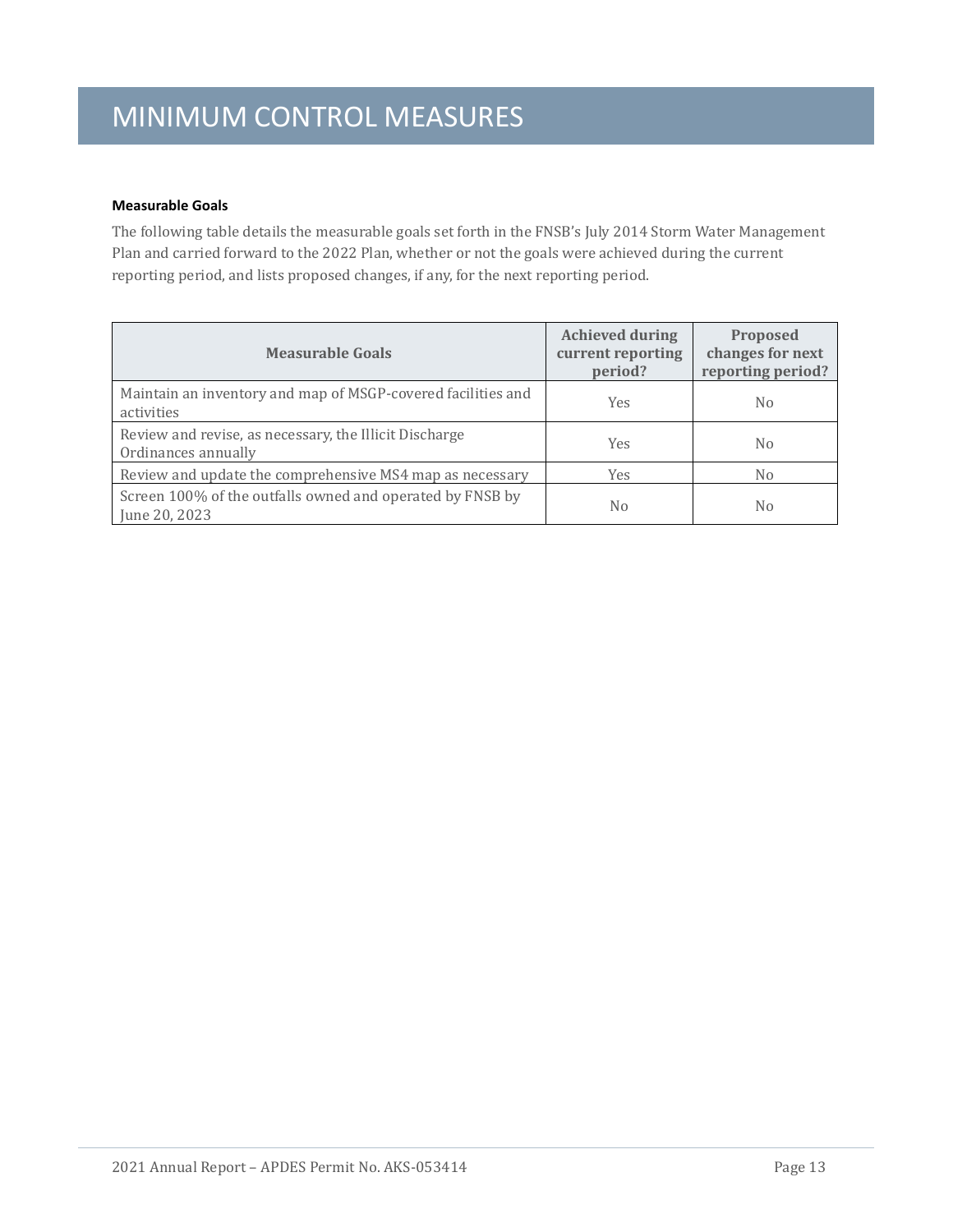#### <span id="page-16-0"></span>**Measurable Goals**

The following table details the measurable goals set forth in the FNSB's July 2014 Storm Water Management Plan and carried forward to the 2022 Plan, whether or not the goals were achieved during the current reporting period, and lists proposed changes, if any, for the next reporting period.

| <b>Measurable Goals</b>                                                       | <b>Achieved during</b><br>current reporting<br>period? | Proposed<br>changes for next<br>reporting period? |
|-------------------------------------------------------------------------------|--------------------------------------------------------|---------------------------------------------------|
| Maintain an inventory and map of MSGP-covered facilities and<br>activities    | Yes                                                    | No.                                               |
| Review and revise, as necessary, the Illicit Discharge<br>Ordinances annually | <b>Yes</b>                                             | N <sub>0</sub>                                    |
| Review and update the comprehensive MS4 map as necessary                      | <b>Yes</b>                                             | No.                                               |
| Screen 100% of the outfalls owned and operated by FNSB by<br>June 20, 2023    | N <sub>0</sub>                                         | No.                                               |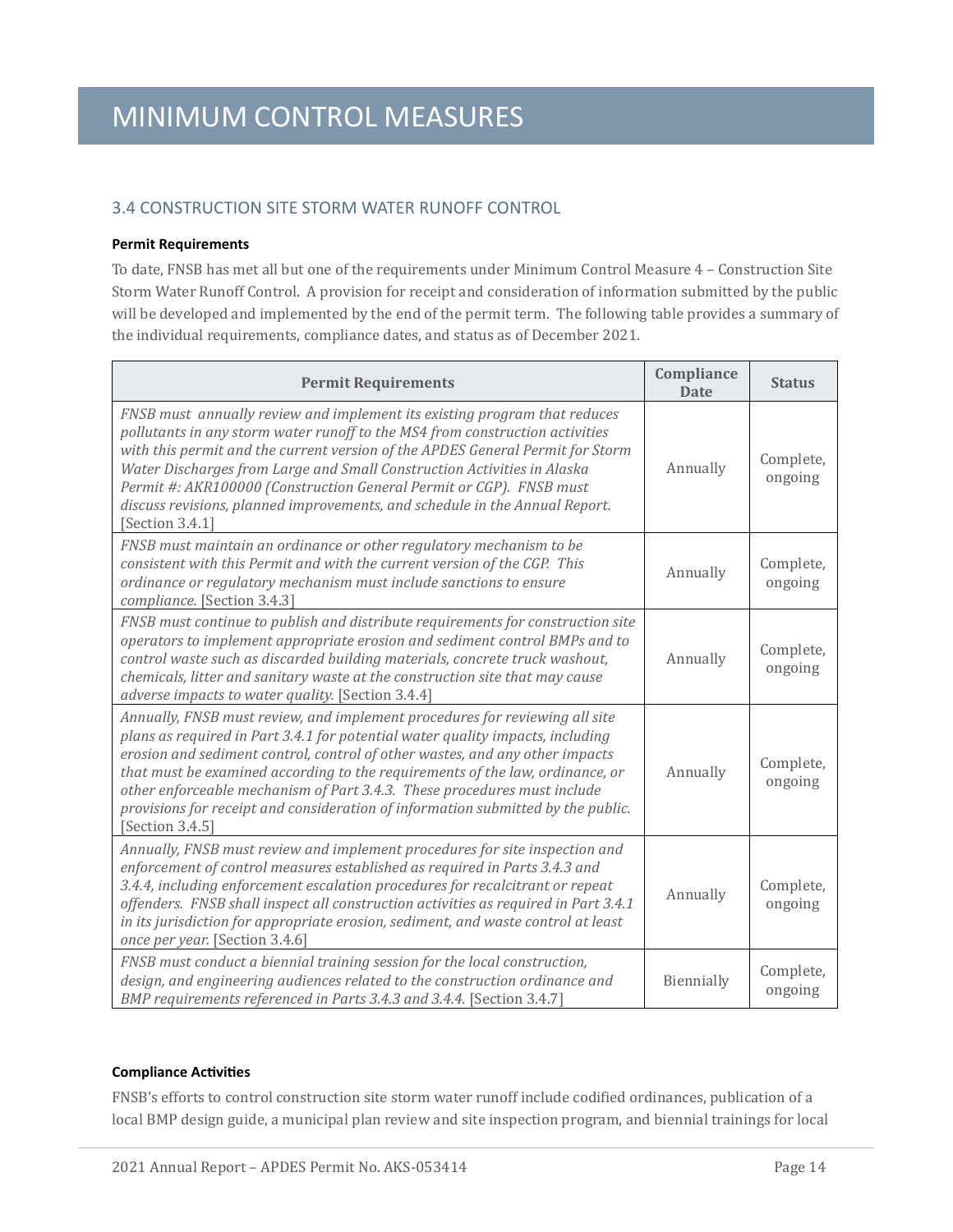#### <span id="page-17-0"></span>3.4 CONSTRUCTION SITE STORM WATER RUNOFF CONTROL

#### <span id="page-17-1"></span>**Permit Requirements**

To date, FNSB has met all but one of the requirements under Minimum Control Measure 4 – Construction Site Storm Water Runoff Control. A provision for receipt and consideration of information submitted by the public will be developed and implemented by the end of the permit term. The following table provides a summary of the individual requirements, compliance dates, and status as of December 2021.

| <b>Permit Requirements</b>                                                                                                                                                                                                                                                                                                                                                                                                                                                                                        | Compliance<br><b>Date</b> | <b>Status</b>        |
|-------------------------------------------------------------------------------------------------------------------------------------------------------------------------------------------------------------------------------------------------------------------------------------------------------------------------------------------------------------------------------------------------------------------------------------------------------------------------------------------------------------------|---------------------------|----------------------|
| FNSB must annually review and implement its existing program that reduces<br>pollutants in any storm water runoff to the MS4 from construction activities<br>with this permit and the current version of the APDES General Permit for Storm<br>Water Discharges from Large and Small Construction Activities in Alaska<br>Permit #: AKR100000 (Construction General Permit or CGP). FNSB must<br>discuss revisions, planned improvements, and schedule in the Annual Report.<br>[Section 3.4.1]                   | Annually                  | Complete,<br>ongoing |
| FNSB must maintain an ordinance or other regulatory mechanism to be<br>consistent with this Permit and with the current version of the CGP. This<br>ordinance or regulatory mechanism must include sanctions to ensure<br>compliance. [Section 3.4.3]                                                                                                                                                                                                                                                             | Annually                  | Complete,<br>ongoing |
| FNSB must continue to publish and distribute requirements for construction site<br>operators to implement appropriate erosion and sediment control BMPs and to<br>control waste such as discarded building materials, concrete truck washout,<br>chemicals, litter and sanitary waste at the construction site that may cause<br>adverse impacts to water quality. [Section 3.4.4]                                                                                                                                | Annually                  | Complete,<br>ongoing |
| Annually, FNSB must review, and implement procedures for reviewing all site<br>plans as required in Part 3.4.1 for potential water quality impacts, including<br>erosion and sediment control, control of other wastes, and any other impacts<br>that must be examined according to the requirements of the law, ordinance, or<br>other enforceable mechanism of Part 3.4.3. These procedures must include<br>provisions for receipt and consideration of information submitted by the public.<br>[Section 3.4.5] | Annually                  | Complete,<br>ongoing |
| Annually, FNSB must review and implement procedures for site inspection and<br>enforcement of control measures established as required in Parts 3.4.3 and<br>3.4.4, including enforcement escalation procedures for recalcitrant or repeat<br>offenders. FNSB shall inspect all construction activities as required in Part 3.4.1<br>in its jurisdiction for appropriate erosion, sediment, and waste control at least<br>once per year. [Section 3.4.6]                                                          | Annually                  | Complete,<br>ongoing |
| FNSB must conduct a biennial training session for the local construction,<br>design, and engineering audiences related to the construction ordinance and<br>BMP requirements referenced in Parts 3.4.3 and 3.4.4. [Section 3.4.7]                                                                                                                                                                                                                                                                                 | Biennially                | Complete,<br>ongoing |

#### <span id="page-17-2"></span>**Compliance Activities**

FNSB's efforts to control construction site storm water runoff include codified ordinances, publication of a local BMP design guide, a municipal plan review and site inspection program, and biennial trainings for local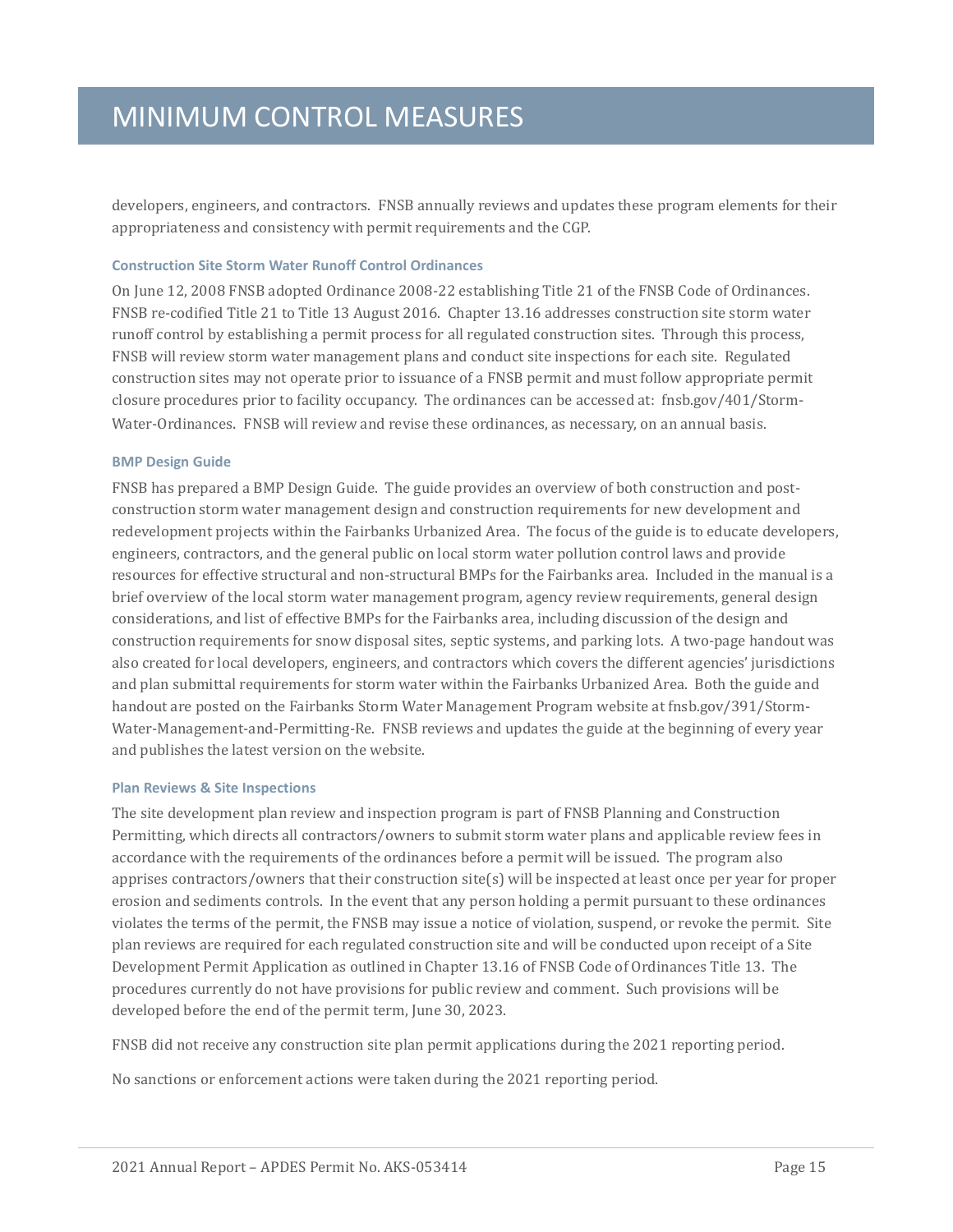developers, engineers, and contractors. FNSB annually reviews and updates these program elements for their appropriateness and consistency with permit requirements and the CGP.

#### **Construction Site Storm Water Runoff Control Ordinances**

On June 12, 2008 FNSB adopted Ordinance 2008-22 establishing Title 21 of the FNSB Code of Ordinances. FNSB re-codified Title 21 to Title 13 August 2016. Chapter 13.16 addresses construction site storm water runoff control by establishing a permit process for all regulated construction sites. Through this process, FNSB will review storm water management plans and conduct site inspections for each site. Regulated construction sites may not operate prior to issuance of a FNSB permit and must follow appropriate permit closure procedures prior to facility occupancy. The ordinances can be accessed at: fnsb.gov/401/Storm-Water-Ordinances. FNSB will review and revise these ordinances, as necessary, on an annual basis.

#### **BMP Design Guide**

FNSB has prepared a BMP Design Guide. The guide provides an overview of both construction and postconstruction storm water management design and construction requirements for new development and redevelopment projects within the Fairbanks Urbanized Area. The focus of the guide is to educate developers, engineers, contractors, and the general public on local storm water pollution control laws and provide resources for effective structural and non-structural BMPs for the Fairbanks area. Included in the manual is a brief overview of the local storm water management program, agency review requirements, general design considerations, and list of effective BMPs for the Fairbanks area, including discussion of the design and construction requirements for snow disposal sites, septic systems, and parking lots. A two-page handout was also created for local developers, engineers, and contractors which covers the different agencies' jurisdictions and plan submittal requirements for storm water within the Fairbanks Urbanized Area. Both the guide and handout are posted on the Fairbanks Storm Water Management Program website at fnsb.gov/391/Storm-Water-Management-and-Permitting-Re. FNSB reviews and updates the guide at the beginning of every year and publishes the latest version on the website.

#### **Plan Reviews & Site Inspections**

The site development plan review and inspection program is part of FNSB Planning and Construction Permitting, which directs all contractors/owners to submit storm water plans and applicable review fees in accordance with the requirements of the ordinances before a permit will be issued. The program also apprises contractors/owners that their construction site(s) will be inspected at least once per year for proper erosion and sediments controls. In the event that any person holding a permit pursuant to these ordinances violates the terms of the permit, the FNSB may issue a notice of violation, suspend, or revoke the permit. Site plan reviews are required for each regulated construction site and will be conducted upon receipt of a Site Development Permit Application as outlined in Chapter 13.16 of FNSB Code of Ordinances Title 13. The procedures currently do not have provisions for public review and comment. Such provisions will be developed before the end of the permit term, June 30, 2023.

FNSB did not receive any construction site plan permit applications during the 2021 reporting period.

No sanctions or enforcement actions were taken during the 2021 reporting period.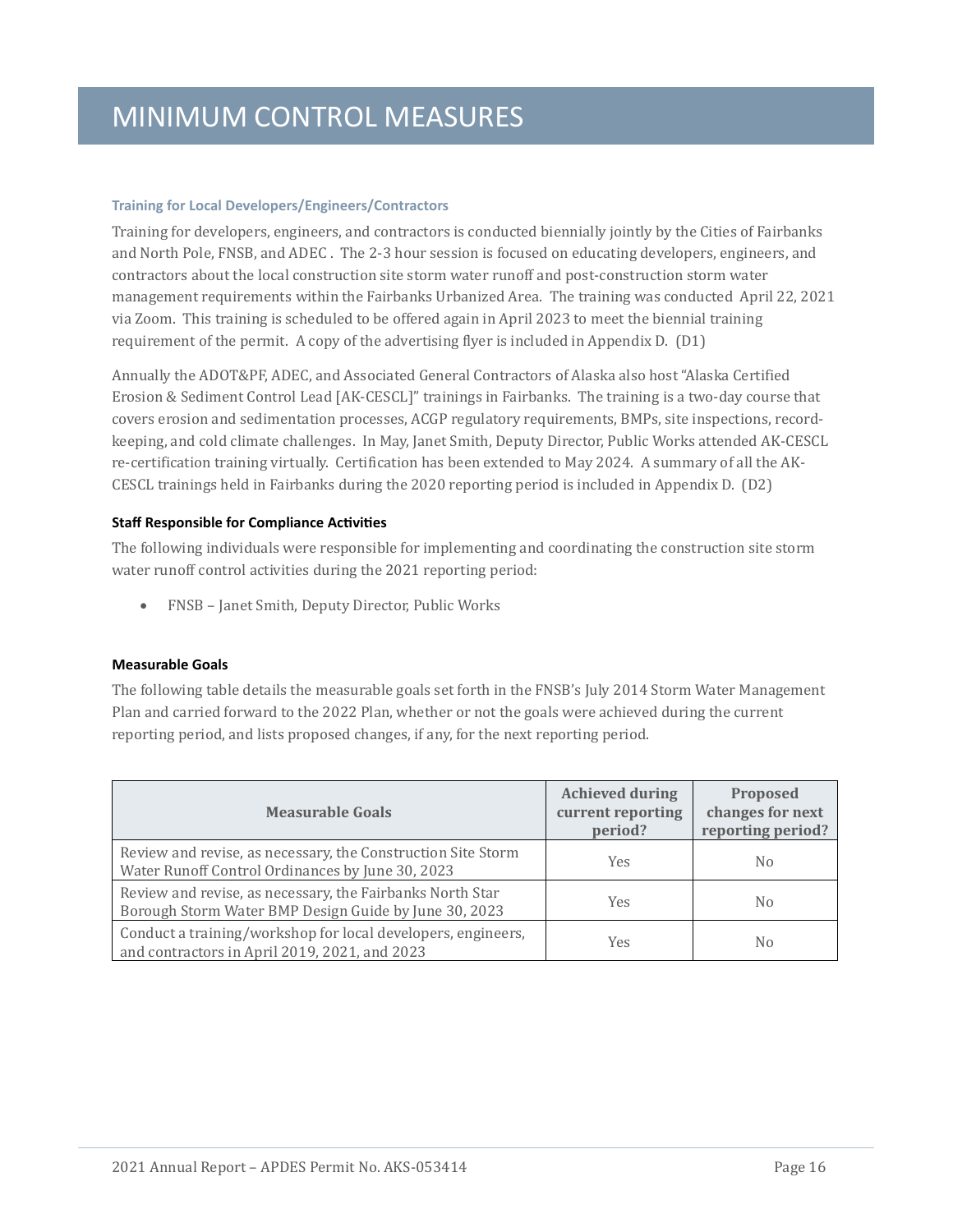#### **Training for Local Developers/Engineers/Contractors**

Training for developers, engineers, and contractors is conducted biennially jointly by the Cities of Fairbanks and North Pole, FNSB, and ADEC . The 2-3 hour session is focused on educating developers, engineers, and contractors about the local construction site storm water runoff and post-construction storm water management requirements within the Fairbanks Urbanized Area. The training was conducted April 22, 2021 via Zoom. This training is scheduled to be offered again in April 2023 to meet the biennial training requirement of the permit. A copy of the advertising flyer is included in Appendix D. (D1)

Annually the ADOT&PF, ADEC, and Associated General Contractors of Alaska also host "Alaska Certified Erosion & Sediment Control Lead [AK-CESCL]" trainings in Fairbanks. The training is a two-day course that covers erosion and sedimentation processes, ACGP regulatory requirements, BMPs, site inspections, recordkeeping, and cold climate challenges. In May, Janet Smith, Deputy Director, Public Works attended AK-CESCL re-certification training virtually. Certification has been extended to May 2024. A summary of all the AK-CESCL trainings held in Fairbanks during the 2020 reporting period is included in Appendix D. (D2)

#### <span id="page-19-0"></span>**Staff Responsible for Compliance Activities**

The following individuals were responsible for implementing and coordinating the construction site storm water runoff control activities during the 2021 reporting period:

• FNSB – Janet Smith, Deputy Director, Public Works

#### <span id="page-19-1"></span>**Measurable Goals**

The following table details the measurable goals set forth in the FNSB's July 2014 Storm Water Management Plan and carried forward to the 2022 Plan, whether or not the goals were achieved during the current reporting period, and lists proposed changes, if any, for the next reporting period.

<span id="page-19-2"></span>

| <b>Measurable Goals</b>                                                                                            | <b>Achieved during</b><br>current reporting<br>period? | Proposed<br>changes for next<br>reporting period? |
|--------------------------------------------------------------------------------------------------------------------|--------------------------------------------------------|---------------------------------------------------|
| Review and revise, as necessary, the Construction Site Storm<br>Water Runoff Control Ordinances by June 30, 2023   | Yes                                                    | N <sub>0</sub>                                    |
| Review and revise, as necessary, the Fairbanks North Star<br>Borough Storm Water BMP Design Guide by June 30, 2023 | <b>Yes</b>                                             | N <sub>0</sub>                                    |
| Conduct a training/workshop for local developers, engineers,<br>and contractors in April 2019, 2021, and 2023      | Yes                                                    | No.                                               |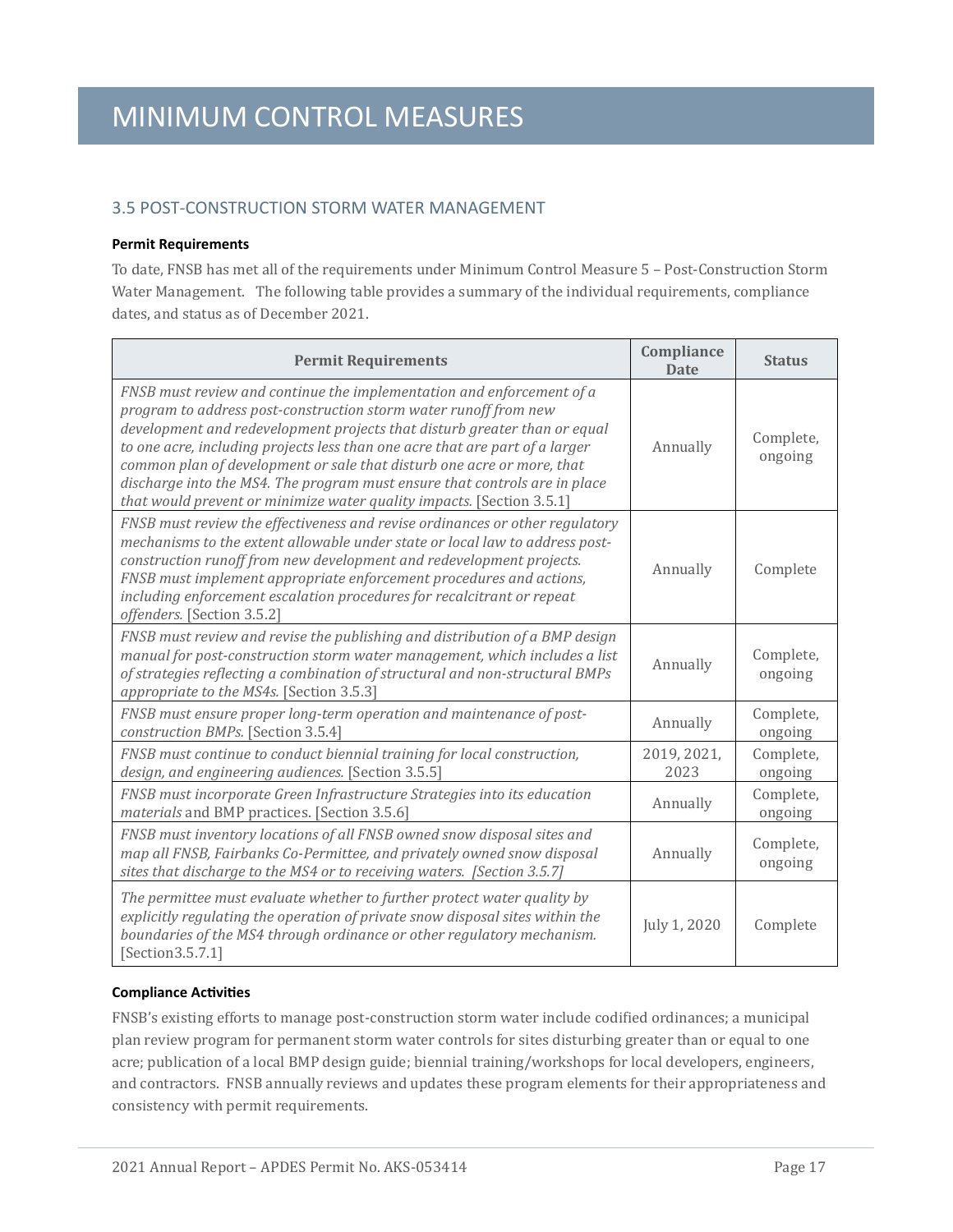#### 3.5 POST-CONSTRUCTION STORM WATER MANAGEMENT

#### <span id="page-20-0"></span>**Permit Requirements**

To date, FNSB has met all of the requirements under Minimum Control Measure 5 – Post-Construction Storm Water Management. The following table provides a summary of the individual requirements, compliance dates, and status as of December 2021.

| <b>Permit Requirements</b>                                                                                                                                                                                                                                                                                                                                                                                                                                                                                                              | Compliance<br><b>Date</b> | <b>Status</b>        |
|-----------------------------------------------------------------------------------------------------------------------------------------------------------------------------------------------------------------------------------------------------------------------------------------------------------------------------------------------------------------------------------------------------------------------------------------------------------------------------------------------------------------------------------------|---------------------------|----------------------|
| FNSB must review and continue the implementation and enforcement of a<br>program to address post-construction storm water runoff from new<br>development and redevelopment projects that disturb greater than or equal<br>to one acre, including projects less than one acre that are part of a larger<br>common plan of development or sale that disturb one acre or more, that<br>discharge into the MS4. The program must ensure that controls are in place<br>that would prevent or minimize water quality impacts. [Section 3.5.1] | Annually                  | Complete,<br>ongoing |
| FNSB must review the effectiveness and revise ordinances or other regulatory<br>mechanisms to the extent allowable under state or local law to address post-<br>construction runoff from new development and redevelopment projects.<br>FNSB must implement appropriate enforcement procedures and actions,<br>including enforcement escalation procedures for recalcitrant or repeat<br>offenders. [Section 3.5.2]                                                                                                                     | Annually                  | Complete             |
| FNSB must review and revise the publishing and distribution of a BMP design<br>manual for post-construction storm water management, which includes a list<br>of strategies reflecting a combination of structural and non-structural BMPs<br>appropriate to the MS4s. [Section 3.5.3]                                                                                                                                                                                                                                                   | Annually                  | Complete,<br>ongoing |
| FNSB must ensure proper long-term operation and maintenance of post-<br>construction BMPs. [Section 3.5.4]                                                                                                                                                                                                                                                                                                                                                                                                                              | Annually                  | Complete,<br>ongoing |
| FNSB must continue to conduct biennial training for local construction,<br>design, and engineering audiences. [Section 3.5.5]                                                                                                                                                                                                                                                                                                                                                                                                           | 2019, 2021,<br>2023       | Complete,<br>ongoing |
| FNSB must incorporate Green Infrastructure Strategies into its education<br>materials and BMP practices. [Section 3.5.6]                                                                                                                                                                                                                                                                                                                                                                                                                | Annually                  | Complete,<br>ongoing |
| FNSB must inventory locations of all FNSB owned snow disposal sites and<br>map all FNSB, Fairbanks Co-Permittee, and privately owned snow disposal<br>sites that discharge to the MS4 or to receiving waters. [Section 3.5.7]                                                                                                                                                                                                                                                                                                           | Annually                  | Complete,<br>ongoing |
| The permittee must evaluate whether to further protect water quality by<br>explicitly regulating the operation of private snow disposal sites within the<br>boundaries of the MS4 through ordinance or other regulatory mechanism.<br>[Section3.5.7.1]                                                                                                                                                                                                                                                                                  | July 1, 2020              | Complete             |

#### <span id="page-20-1"></span>**Compliance Activities**

FNSB's existing efforts to manage post-construction storm water include codified ordinances; a municipal plan review program for permanent storm water controls for sites disturbing greater than or equal to one acre; publication of a local BMP design guide; biennial training/workshops for local developers, engineers, and contractors. FNSB annually reviews and updates these program elements for their appropriateness and consistency with permit requirements.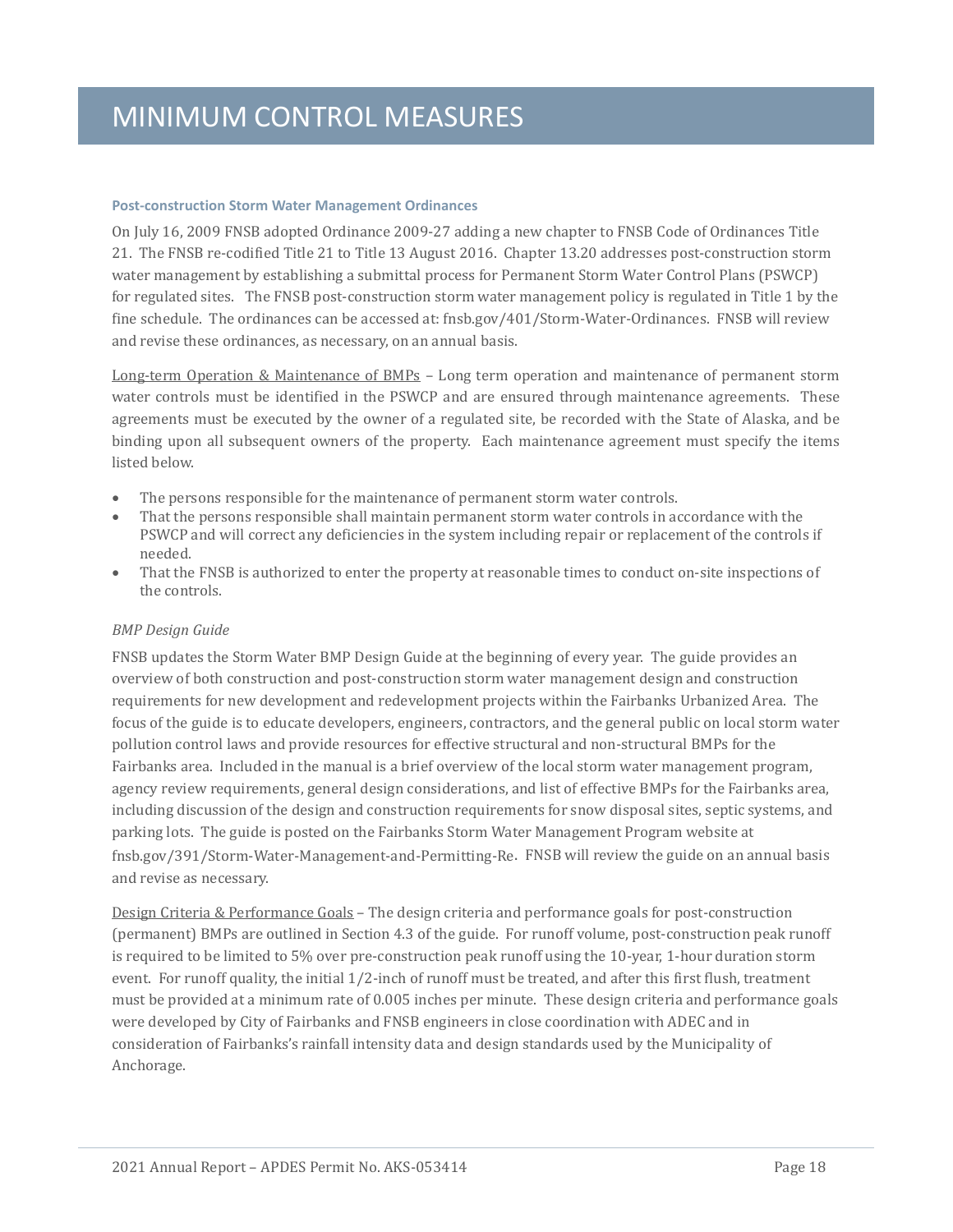#### **Post-construction Storm Water Management Ordinances**

On July 16, 2009 FNSB adopted Ordinance 2009-27 adding a new chapter to FNSB Code of Ordinances Title 21. The FNSB re-codified Title 21 to Title 13 August 2016. Chapter 13.20 addresses post-construction storm water management by establishing a submittal process for Permanent Storm Water Control Plans (PSWCP) for regulated sites. The FNSB post-construction storm water management policy is regulated in Title 1 by the fine schedule. The ordinances can be accessed at: fnsb.gov/401/Storm-Water-Ordinances. FNSB will review and revise these ordinances, as necessary, on an annual basis.

Long-term Operation & Maintenance of BMPs – Long term operation and maintenance of permanent storm water controls must be identified in the PSWCP and are ensured through maintenance agreements. These agreements must be executed by the owner of a regulated site, be recorded with the State of Alaska, and be binding upon all subsequent owners of the property. Each maintenance agreement must specify the items listed below.

- The persons responsible for the maintenance of permanent storm water controls.
- That the persons responsible shall maintain permanent storm water controls in accordance with the PSWCP and will correct any deficiencies in the system including repair or replacement of the controls if needed.
- That the FNSB is authorized to enter the property at reasonable times to conduct on-site inspections of the controls.

#### *BMP Design Guide*

FNSB updates the Storm Water BMP Design Guide at the beginning of every year. The guide provides an overview of both construction and post-construction storm water management design and construction requirements for new development and redevelopment projects within the Fairbanks Urbanized Area. The focus of the guide is to educate developers, engineers, contractors, and the general public on local storm water pollution control laws and provide resources for effective structural and non-structural BMPs for the Fairbanks area. Included in the manual is a brief overview of the local storm water management program, agency review requirements, general design considerations, and list of effective BMPs for the Fairbanks area, including discussion of the design and construction requirements for snow disposal sites, septic systems, and parking lots. The guide is posted on the Fairbanks Storm Water Management Program website at fnsb.gov/391/Storm-Water-Management-and-Permitting-Re. FNSB will review the guide on an annual basis and revise as necessary.

Design Criteria & Performance Goals – The design criteria and performance goals for post-construction (permanent) BMPs are outlined in Section 4.3 of the guide. For runoff volume, post-construction peak runoff is required to be limited to 5% over pre-construction peak runoff using the 10-year, 1-hour duration storm event. For runoff quality, the initial 1/2-inch of runoff must be treated, and after this first flush, treatment must be provided at a minimum rate of 0.005 inches per minute. These design criteria and performance goals were developed by City of Fairbanks and FNSB engineers in close coordination with ADEC and in consideration of Fairbanks's rainfall intensity data and design standards used by the Municipality of Anchorage.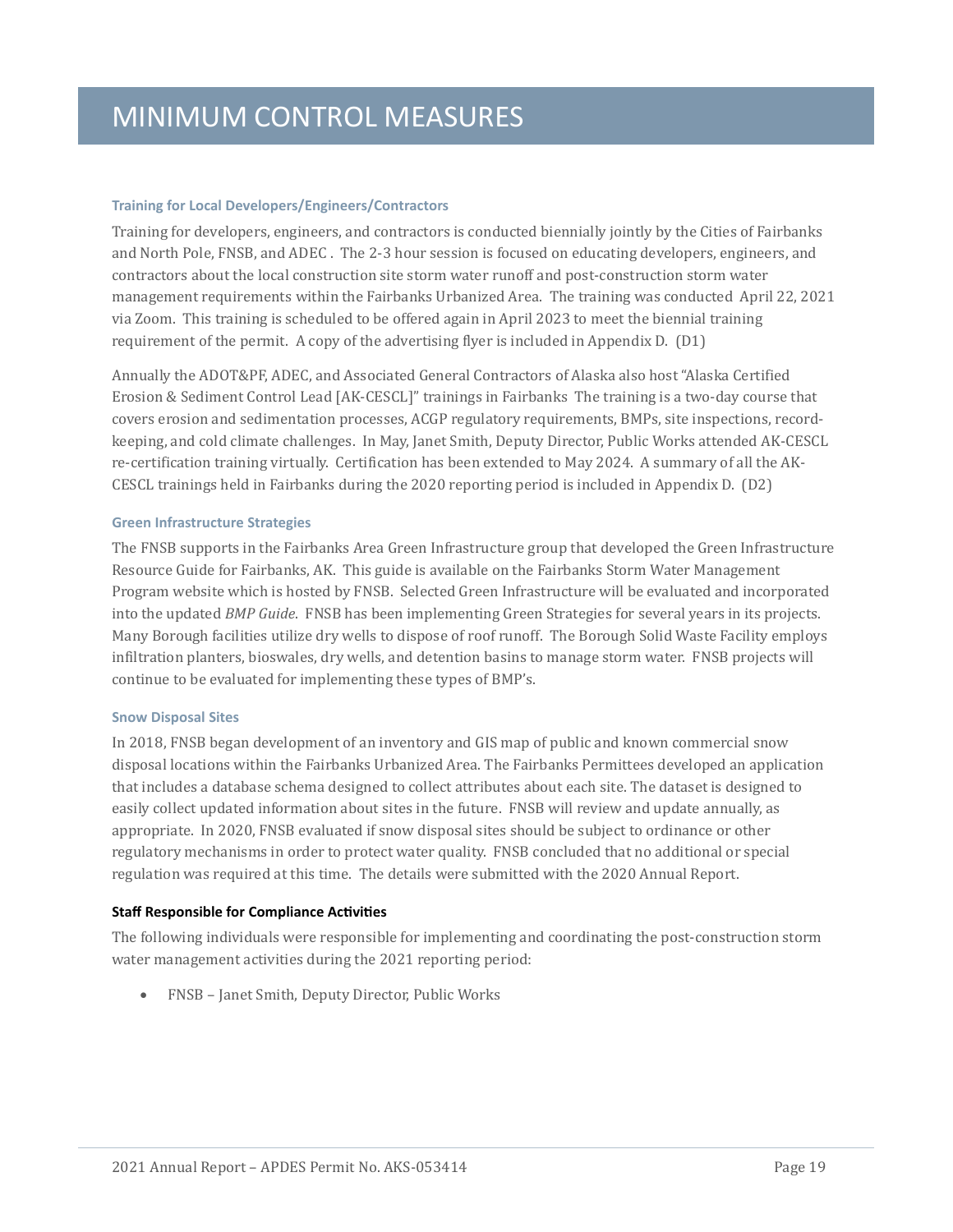#### **Training for Local Developers/Engineers/Contractors**

Training for developers, engineers, and contractors is conducted biennially jointly by the Cities of Fairbanks and North Pole, FNSB, and ADEC . The 2-3 hour session is focused on educating developers, engineers, and contractors about the local construction site storm water runoff and post-construction storm water management requirements within the Fairbanks Urbanized Area. The training was conducted April 22, 2021 via Zoom. This training is scheduled to be offered again in April 2023 to meet the biennial training requirement of the permit. A copy of the advertising flyer is included in Appendix D. (D1)

Annually the ADOT&PF, ADEC, and Associated General Contractors of Alaska also host "Alaska Certified Erosion & Sediment Control Lead [AK-CESCL]" trainings in Fairbanks The training is a two-day course that covers erosion and sedimentation processes, ACGP regulatory requirements, BMPs, site inspections, recordkeeping, and cold climate challenges. In May, Janet Smith, Deputy Director, Public Works attended AK-CESCL re-certification training virtually. Certification has been extended to May 2024. A summary of all the AK-CESCL trainings held in Fairbanks during the 2020 reporting period is included in Appendix D. (D2)

#### **Green Infrastructure Strategies**

The FNSB supports in the Fairbanks Area Green Infrastructure group that developed the Green Infrastructure Resource Guide for Fairbanks, AK. This guide is available on the Fairbanks Storm Water Management Program website which is hosted by FNSB. Selected Green Infrastructure will be evaluated and incorporated into the updated *BMP Guide*. FNSB has been implementing Green Strategies for several years in its projects. Many Borough facilities utilize dry wells to dispose of roof runoff. The Borough Solid Waste Facility employs infiltration planters, bioswales, dry wells, and detention basins to manage storm water. FNSB projects will continue to be evaluated for implementing these types of BMP's.

#### **Snow Disposal Sites**

In 2018, FNSB began development of an inventory and GIS map of public and known commercial snow disposal locations within the Fairbanks Urbanized Area. The Fairbanks Permittees developed an application that includes a database schema designed to collect attributes about each site. The dataset is designed to easily collect updated information about sites in the future. FNSB will review and update annually, as appropriate. In 2020, FNSB evaluated if snow disposal sites should be subject to ordinance or other regulatory mechanisms in order to protect water quality. FNSB concluded that no additional or special regulation was required at this time. The details were submitted with the 2020 Annual Report.

#### <span id="page-22-0"></span>**Staff Responsible for Compliance Activities**

The following individuals were responsible for implementing and coordinating the post-construction storm water management activities during the 2021 reporting period:

• FNSB – Janet Smith, Deputy Director, Public Works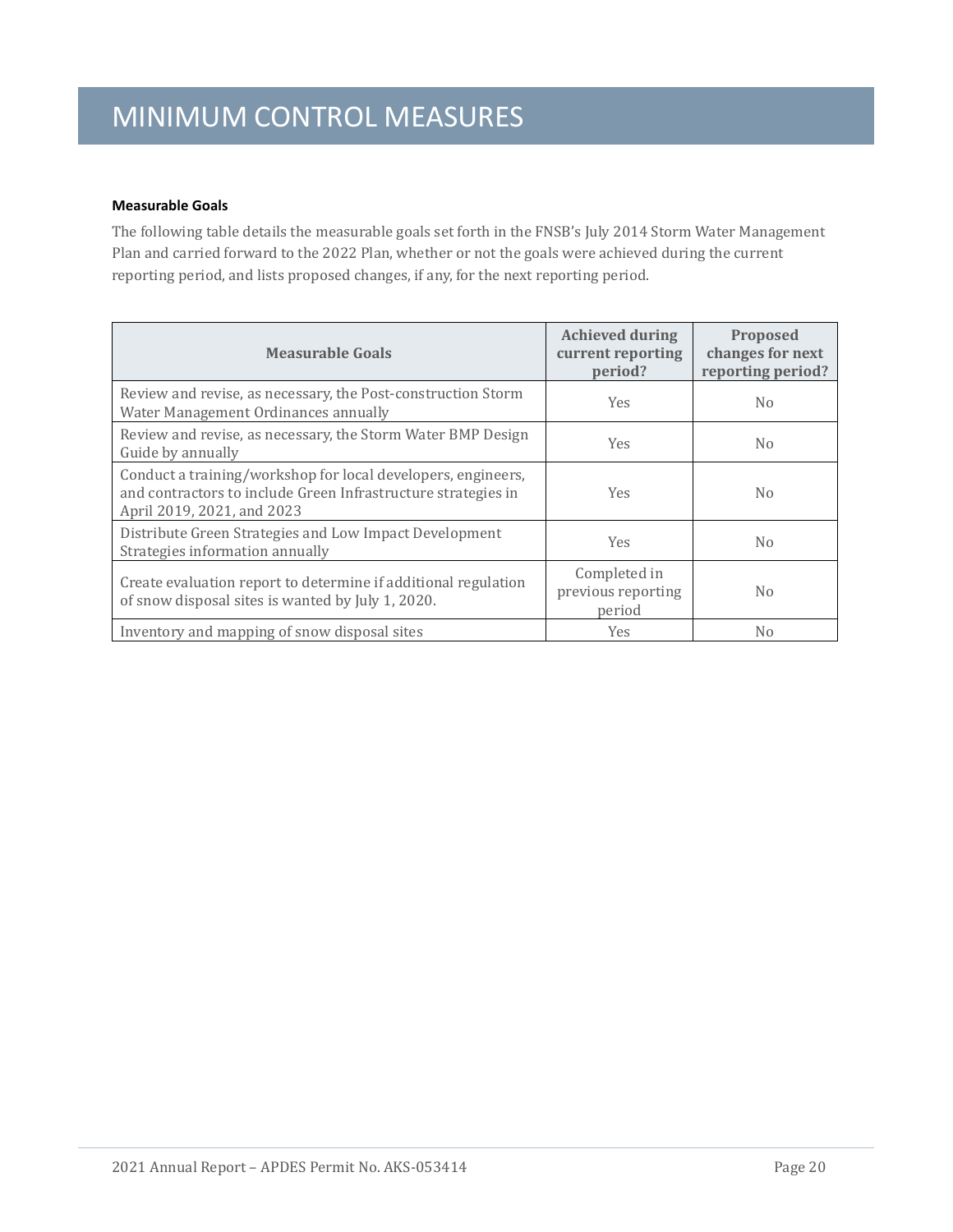#### <span id="page-23-0"></span>**Measurable Goals**

The following table details the measurable goals set forth in the FNSB's July 2014 Storm Water Management Plan and carried forward to the 2022 Plan, whether or not the goals were achieved during the current reporting period, and lists proposed changes, if any, for the next reporting period.

| <b>Measurable Goals</b>                                                                                                                                     | <b>Achieved during</b><br>current reporting<br>period? | <b>Proposed</b><br>changes for next<br>reporting period? |
|-------------------------------------------------------------------------------------------------------------------------------------------------------------|--------------------------------------------------------|----------------------------------------------------------|
| Review and revise, as necessary, the Post-construction Storm<br>Water Management Ordinances annually                                                        | <b>Yes</b>                                             | N <sub>0</sub>                                           |
| Review and revise, as necessary, the Storm Water BMP Design<br>Guide by annually                                                                            | <b>Yes</b>                                             | N <sub>0</sub>                                           |
| Conduct a training/workshop for local developers, engineers,<br>and contractors to include Green Infrastructure strategies in<br>April 2019, 2021, and 2023 | <b>Yes</b>                                             | N <sub>0</sub>                                           |
| Distribute Green Strategies and Low Impact Development<br>Strategies information annually                                                                   | Yes                                                    | No.                                                      |
| Create evaluation report to determine if additional regulation<br>of snow disposal sites is wanted by July 1, 2020.                                         | Completed in<br>previous reporting<br>period           | N <sub>0</sub>                                           |
| Inventory and mapping of snow disposal sites                                                                                                                | Yes                                                    | N <sub>0</sub>                                           |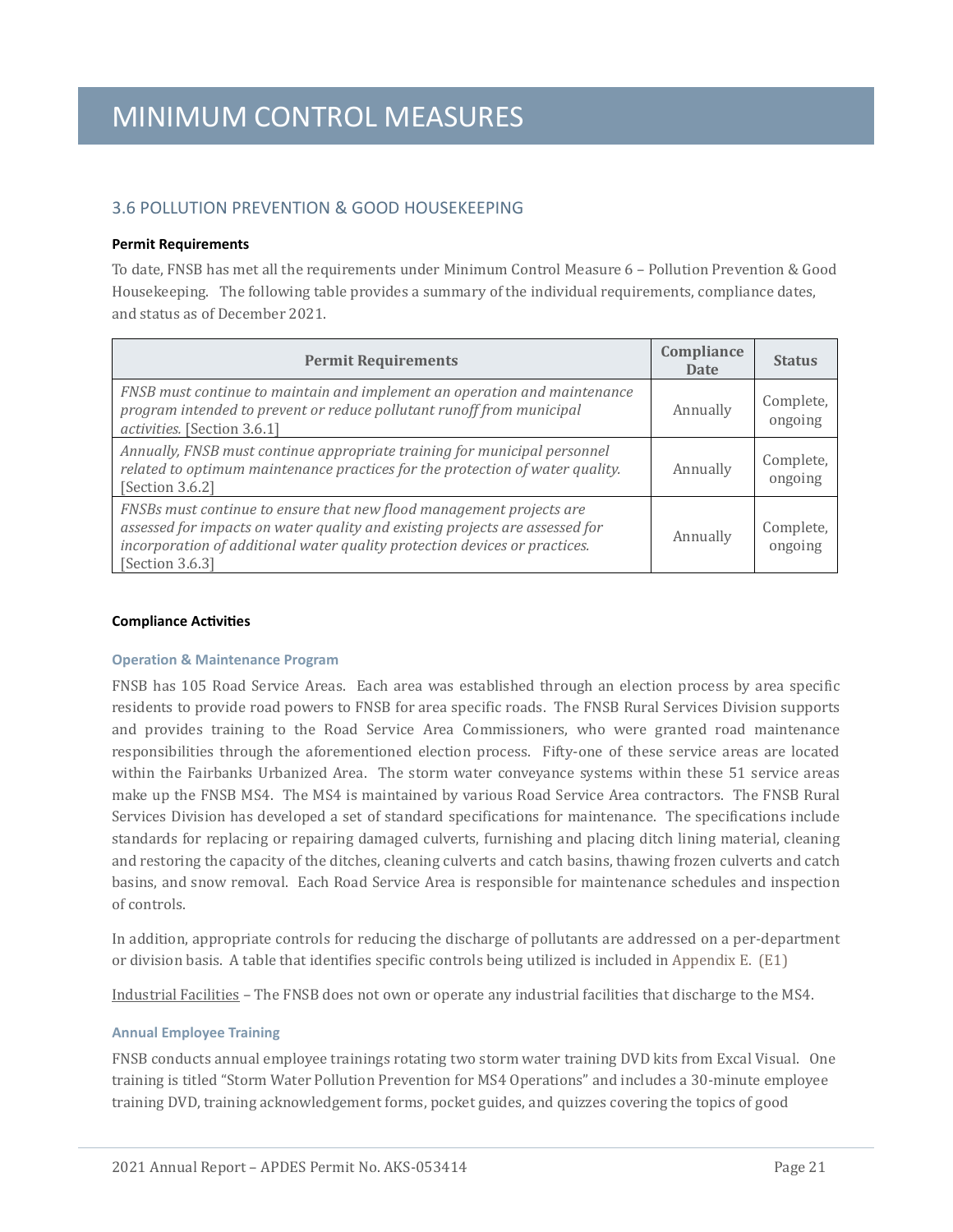#### <span id="page-24-0"></span>3.6 POLLUTION PREVENTION & GOOD HOUSEKEEPING

#### <span id="page-24-1"></span>**Permit Requirements**

To date, FNSB has met all the requirements under Minimum Control Measure 6 – Pollution Prevention & Good Housekeeping. The following table provides a summary of the individual requirements, compliance dates, and status as of December 2021.

| <b>Permit Requirements</b>                                                                                                                                                                                                                            | Compliance<br>Date | <b>Status</b>        |
|-------------------------------------------------------------------------------------------------------------------------------------------------------------------------------------------------------------------------------------------------------|--------------------|----------------------|
| FNSB must continue to maintain and implement an operation and maintenance<br>program intended to prevent or reduce pollutant runoff from municipal<br>activities. [Section 3.6.1]                                                                     | Annually           | Complete,<br>ongoing |
| Annually, FNSB must continue appropriate training for municipal personnel<br>related to optimum maintenance practices for the protection of water quality.<br>[Section 3.6.2]                                                                         | Annually           | Complete,<br>ongoing |
| FNSBs must continue to ensure that new flood management projects are<br>assessed for impacts on water quality and existing projects are assessed for<br>incorporation of additional water quality protection devices or practices.<br>[Section 3.6.3] | Annually           | Complete,<br>ongoing |

#### <span id="page-24-2"></span>**Compliance Activities**

#### **Operation & Maintenance Program**

FNSB has 105 Road Service Areas. Each area was established through an election process by area specific residents to provide road powers to FNSB for area specific roads. The FNSB Rural Services Division supports and provides training to the Road Service Area Commissioners, who were granted road maintenance responsibilities through the aforementioned election process. Fifty-one of these service areas are located within the Fairbanks Urbanized Area. The storm water conveyance systems within these 51 service areas make up the FNSB MS4. The MS4 is maintained by various Road Service Area contractors. The FNSB Rural Services Division has developed a set of standard specifications for maintenance. The specifications include standards for replacing or repairing damaged culverts, furnishing and placing ditch lining material, cleaning and restoring the capacity of the ditches, cleaning culverts and catch basins, thawing frozen culverts and catch basins, and snow removal. Each Road Service Area is responsible for maintenance schedules and inspection of controls.

In addition, appropriate controls for reducing the discharge of pollutants are addressed on a per-department or division basis. A table that identifies specific controls being utilized is included in Appendix E. (E1)

Industrial Facilities – The FNSB does not own or operate any industrial facilities that discharge to the MS4.

#### **Annual Employee Training**

FNSB conducts annual employee trainings rotating two storm water training DVD kits from Excal Visual. One training is titled "Storm Water Pollution Prevention for MS4 Operations" and includes a 30-minute employee training DVD, training acknowledgement forms, pocket guides, and quizzes covering the topics of good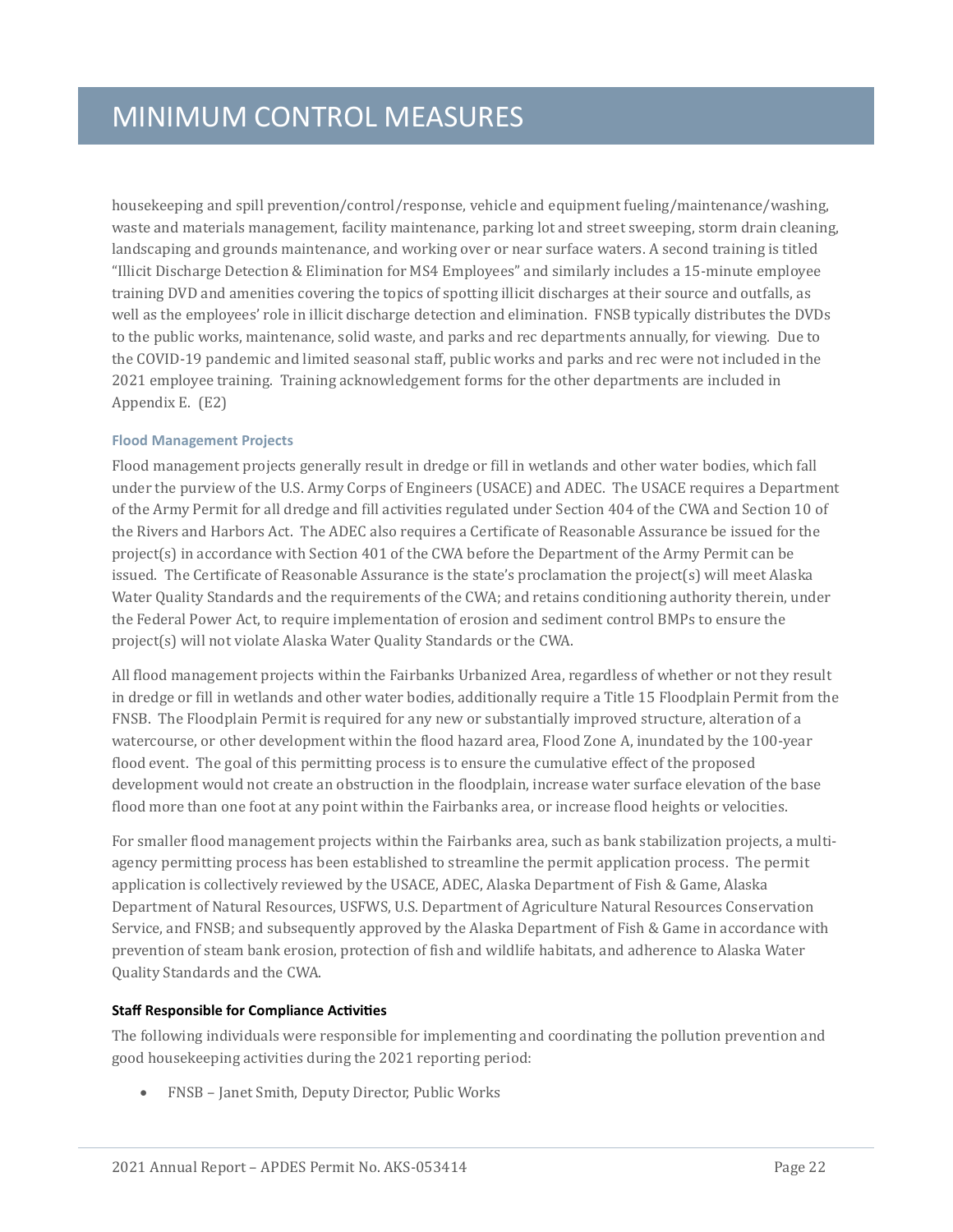housekeeping and spill prevention/control/response, vehicle and equipment fueling/maintenance/washing, waste and materials management, facility maintenance, parking lot and street sweeping, storm drain cleaning, landscaping and grounds maintenance, and working over or near surface waters. A second training is titled "Illicit Discharge Detection & Elimination for MS4 Employees" and similarly includes a 15-minute employee training DVD and amenities covering the topics of spotting illicit discharges at their source and outfalls, as well as the employees' role in illicit discharge detection and elimination. FNSB typically distributes the DVDs to the public works, maintenance, solid waste, and parks and rec departments annually, for viewing. Due to the COVID-19 pandemic and limited seasonal staff, public works and parks and rec were not included in the 2021 employee training. Training acknowledgement forms for the other departments are included in Appendix E. (E2)

#### **Flood Management Projects**

Flood management projects generally result in dredge or fill in wetlands and other water bodies, which fall under the purview of the U.S. Army Corps of Engineers (USACE) and ADEC. The USACE requires a Department of the Army Permit for all dredge and fill activities regulated under Section 404 of the CWA and Section 10 of the Rivers and Harbors Act. The ADEC also requires a Certificate of Reasonable Assurance be issued for the project(s) in accordance with Section 401 of the CWA before the Department of the Army Permit can be issued. The Certificate of Reasonable Assurance is the state's proclamation the project(s) will meet Alaska Water Quality Standards and the requirements of the CWA; and retains conditioning authority therein, under the Federal Power Act, to require implementation of erosion and sediment control BMPs to ensure the project(s) will not violate Alaska Water Quality Standards or the CWA.

All flood management projects within the Fairbanks Urbanized Area, regardless of whether or not they result in dredge or fill in wetlands and other water bodies, additionally require a Title 15 Floodplain Permit from the FNSB. The Floodplain Permit is required for any new or substantially improved structure, alteration of a watercourse, or other development within the flood hazard area, Flood Zone A, inundated by the 100-year flood event. The goal of this permitting process is to ensure the cumulative effect of the proposed development would not create an obstruction in the floodplain, increase water surface elevation of the base flood more than one foot at any point within the Fairbanks area, or increase flood heights or velocities.

For smaller flood management projects within the Fairbanks area, such as bank stabilization projects, a multiagency permitting process has been established to streamline the permit application process. The permit application is collectively reviewed by the USACE, ADEC, Alaska Department of Fish & Game, Alaska Department of Natural Resources, USFWS, U.S. Department of Agriculture Natural Resources Conservation Service, and FNSB; and subsequently approved by the Alaska Department of Fish & Game in accordance with prevention of steam bank erosion, protection of fish and wildlife habitats, and adherence to Alaska Water Quality Standards and the CWA.

#### <span id="page-25-0"></span>**Staff Responsible for Compliance Activities**

The following individuals were responsible for implementing and coordinating the pollution prevention and good housekeeping activities during the 2021 reporting period:

• FNSB – Janet Smith, Deputy Director, Public Works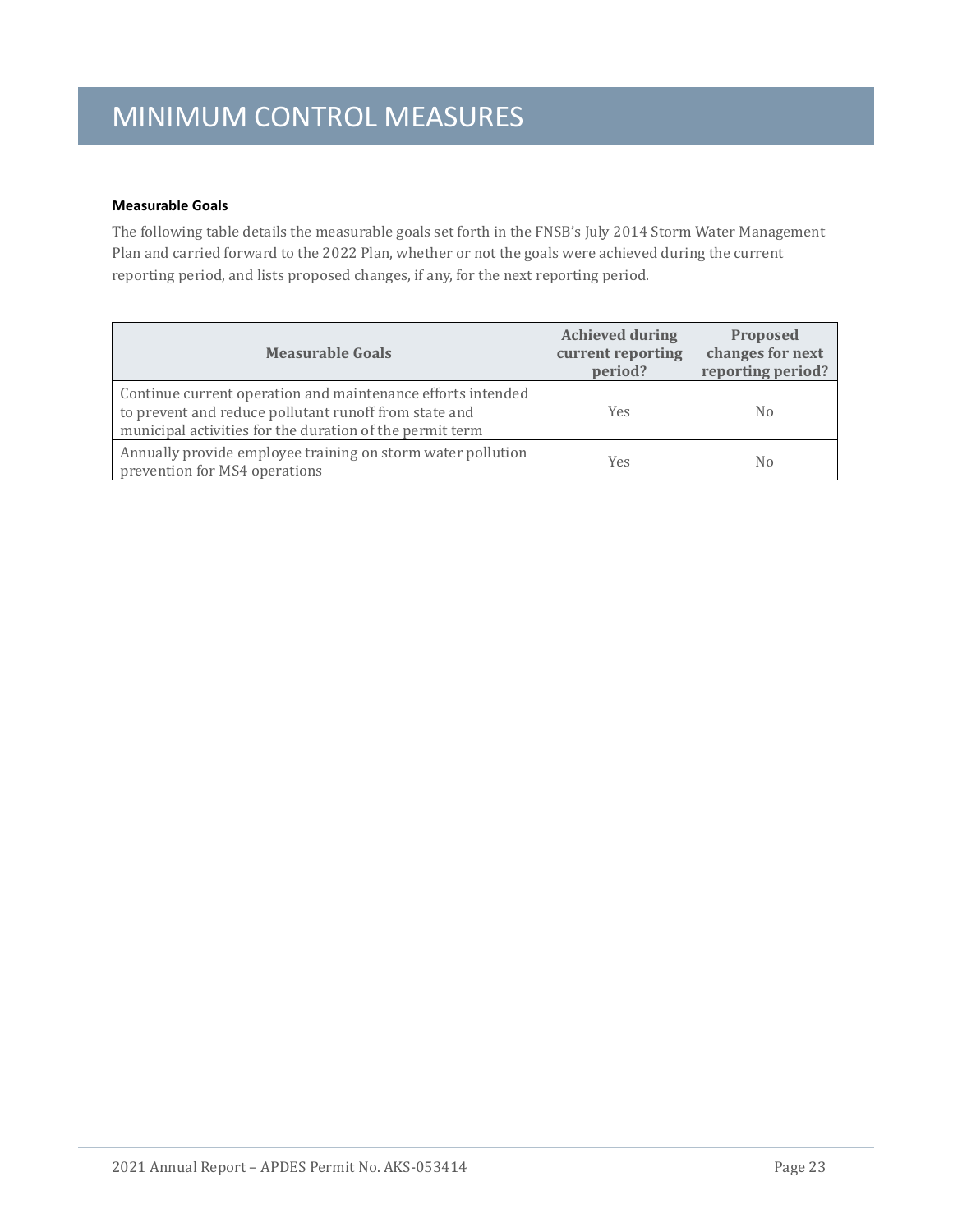#### <span id="page-26-0"></span>**Measurable Goals**

The following table details the measurable goals set forth in the FNSB's July 2014 Storm Water Management Plan and carried forward to the 2022 Plan, whether or not the goals were achieved during the current reporting period, and lists proposed changes, if any, for the next reporting period.

| <b>Measurable Goals</b>                                                                                                                                                          | <b>Achieved during</b><br>current reporting<br>period? | Proposed<br>changes for next<br>reporting period? |
|----------------------------------------------------------------------------------------------------------------------------------------------------------------------------------|--------------------------------------------------------|---------------------------------------------------|
| Continue current operation and maintenance efforts intended<br>to prevent and reduce pollutant runoff from state and<br>municipal activities for the duration of the permit term | <b>Yes</b>                                             | No.                                               |
| Annually provide employee training on storm water pollution<br>prevention for MS4 operations                                                                                     | Yes                                                    | No.                                               |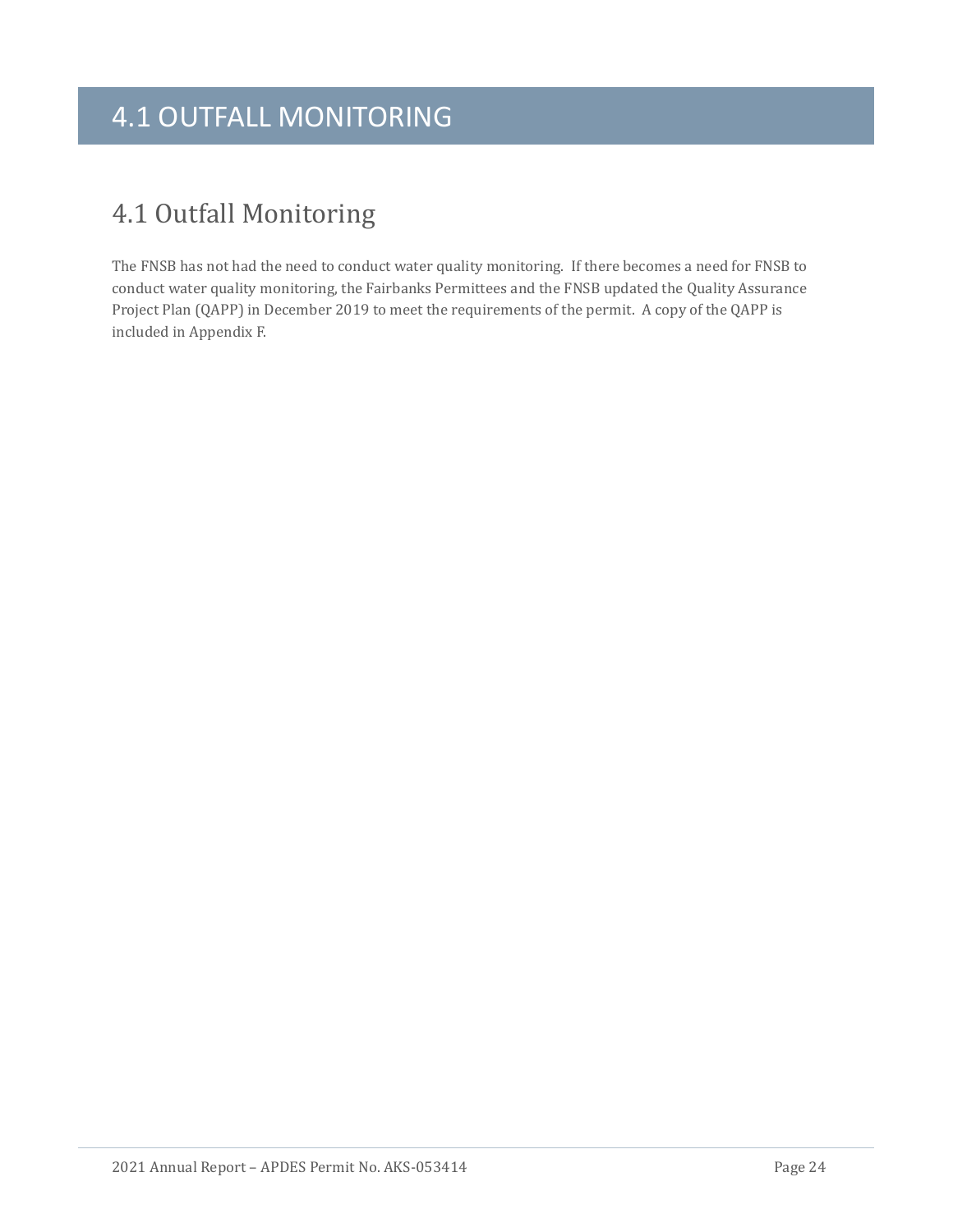### 4.1 OUTFALL MONITORING

### <span id="page-27-0"></span>4.1 Outfall Monitoring

The FNSB has not had the need to conduct water quality monitoring. If there becomes a need for FNSB to conduct water quality monitoring, the Fairbanks Permittees and the FNSB updated the Quality Assurance Project Plan (QAPP) in December 2019 to meet the requirements of the permit. A copy of the QAPP is included in Appendix F.